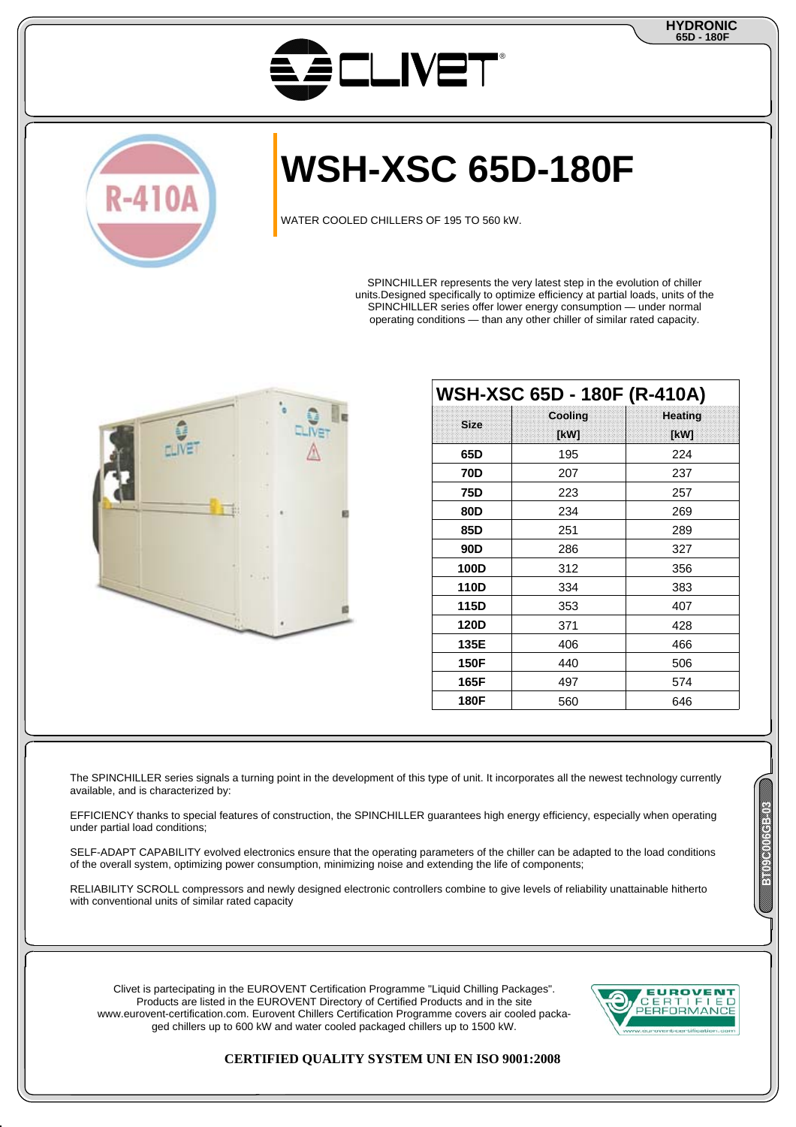



# **WSH-XSC 65D-180F**

WATER COOLED CHILLERS OF 195 TO 560 kW.

SPINCHILLER represents the very latest step in the evolution of chiller units.Designed specifically to optimize efficiency at partial loads, units of the SPINCHILLER series offer lower energy consumption — under normal operating conditions — than any other chiller of similar rated capacity.



|             | WSH-XSC 65D - 180F (R-410A) |                |
|-------------|-----------------------------|----------------|
| <b>Size</b> | Cooling                     | <b>Heating</b> |
|             | [kW]                        | [kW]           |
| 65D         | 195                         | 224            |
| 70D         | 207                         | 237            |
| 75D         | 223                         | 257            |
| 80D         | 234                         | 269            |
| 85D         | 251                         | 289            |
| 90D         | 286                         | 327            |
| 100D        | 312                         | 356            |
| 110D        | 334                         | 383            |
| 115D        | 353                         | 407            |
| 120D        | 371                         | 428            |
| 135E        | 406                         | 466            |
| 150F        | 440                         | 506            |
| 165F        | 497                         | 574            |
| 180F        | 560                         | 646            |

The SPINCHILLER series signals a turning point in the development of this type of unit. It incorporates all the newest technology currently available, and is characterized by:

EFFICIENCY thanks to special features of construction, the SPINCHILLER guarantees high energy efficiency, especially when operating under partial load conditions;

SELF-ADAPT CAPABILITY evolved electronics ensure that the operating parameters of the chiller can be adapted to the load conditions of the overall system, optimizing power consumption, minimizing noise and extending the life of components;

RELIABILITY SCROLL compressors and newly designed electronic controllers combine to give levels of reliability unattainable hitherto with conventional units of similar rated capacity

Clivet is partecipating in the EUROVENT Certification Programme "Liquid Chilling Packages". Products are listed in the EUROVENT Directory of Certified Products and in the site www.eurovent-certification.com. Eurovent Chillers Certification Programme covers air cooled packaged chillers up to 600 kW and water cooled packaged chillers up to 1500 kW.



# **CERTIFIED QUALITY SYSTEM UNI EN ISO 9001:2008**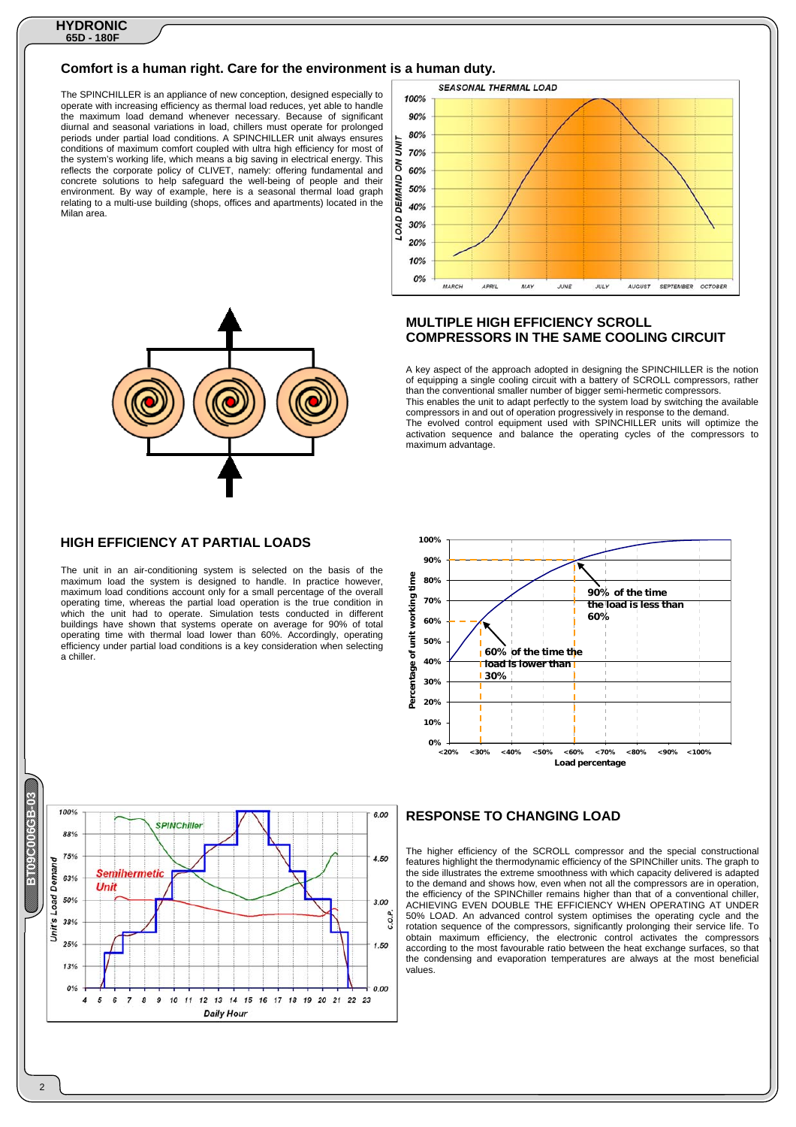#### **Comfort is a human right. Care for the environment is a human duty.**

The SPINCHILLER is an appliance of new conception, designed especially to operate with increasing efficiency as thermal load reduces, yet able to handle the maximum load demand whenever necessary. Because of significant diurnal and seasonal variations in load, chillers must operate for prolonged periods under partial load conditions. A SPINCHILLER unit always ensures conditions of maximum comfort coupled with ultra high efficiency for most of the system's working life, which means a big saving in electrical energy. This reflects the corporate policy of CLIVET, namely: offering fundamental and concrete solutions to help safeguard the well-being of people and their environment. By way of example, here is a seasonal thermal load graph relating to a multi-use building (shops, offices and apartments) located in the Milan area.



#### **SEASONAL THERMAL LOAD** 100%  $90%$ 80% ŠΪ  $70%$ ιš 60% DEMAND 50% 40% LOAD 30% 20%  $10%$  $0%$ MARCH OCTOBER APRIL **MAY** JUNE **JULY** AUGUST SEPTEMBER

#### **MULTIPLE HIGH EFFICIENCY SCROLL COMPRESSORS IN THE SAME COOLING CIRCUIT**

A key aspect of the approach adopted in designing the SPINCHILLER is the notion of equipping a single cooling circuit with a battery of SCROLL compressors, rather than the conventional smaller number of bigger semi-hermetic compressors. This enables the unit to adapt perfectly to the system load by switching the available compressors in and out of operation progressively in response to the demand. The evolved control equipment used with SPINCHILLER units will optimize the activation sequence and balance the operating cycles of the compressors to maximum advantage.



# **RESPONSE TO CHANGING LOAD**

The higher efficiency of the SCROLL compressor and the special constructional features highlight the thermodynamic efficiency of the SPINChiller units. The graph to the side illustrates the extreme smoothness with which capacity delivered is adapted to the demand and shows how, even when not all the compressors are in operation, the efficiency of the SPINChiller remains higher than that of a conventional chiller, ACHIEVING EVEN DOUBLE THE EFFICIENCY WHEN OPERATING AT UNDER 50% LOAD. An advanced control system optimises the operating cycle and the rotation sequence of the compressors, significantly prolonging their service life. To obtain maximum efficiency, the electronic control activates the compressors according to the most favourable ratio between the heat exchange surfaces, so that the condensing and evaporation temperatures are always at the most beneficial values.

#### **HIGH EFFICIENCY AT PARTIAL LOADS**

The unit in an air-conditioning system is selected on the basis of the maximum load the system is designed to handle. In practice however, maximum load conditions account only for a small percentage of the overall operating time, whereas the partial load operation is the true condition in which the unit had to operate. Simulation tests conducted in different buildings have shown that systems operate on average for 90% of total operating time with thermal load lower than 60%. Accordingly, operating efficiency under partial load conditions is a key consideration when selecting a chiller.



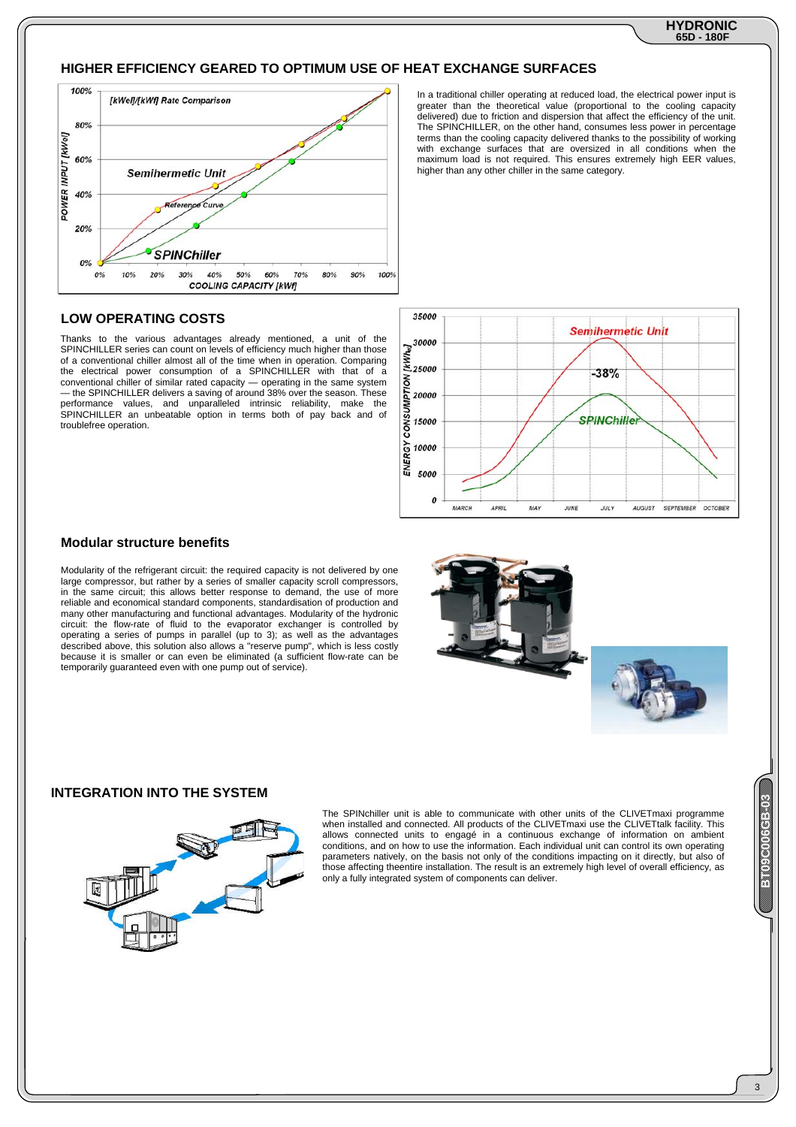# **HIGHER EFFICIENCY GEARED TO OPTIMUM USE OF HEAT EXCHANGE SURFACES**



## **LOW OPERATING COSTS**

Thanks to the various advantages already mentioned, a unit of the SPINCHILLER series can count on levels of efficiency much higher than those of a conventional chiller almost all of the time when in operation. Comparing the electrical power consumption of a SPINCHILLER with that of a conventional chiller of similar rated capacity — operating in the same system the SPINCHILLER delivers a saving of around 38% over the season. These performance values, and unparalleled intrinsic reliability, make the SPINCHILLER an unbeatable option in terms both of pay back and of troublefree operation.

In a traditional chiller operating at reduced load, the electrical power input is greater than the theoretical value (proportional to the cooling capacity delivered) due to friction and dispersion that affect the efficiency of the unit. The SPINCHILLER, on the other hand, consumes less power in percentage terms than the cooling capacity delivered thanks to the possibility of working with exchange surfaces that are oversized in all conditions when the maximum load is not required. This ensures extremely high EER values, higher than any other chiller in the same category.



#### **Modular structure benefits**

Modularity of the refrigerant circuit: the required capacity is not delivered by one large compressor, but rather by a series of smaller capacity scroll compressors, in the same circuit; this allows better response to demand, the use of more reliable and economical standard components, standardisation of production and many other manufacturing and functional advantages. Modularity of the hydronic circuit: the flow-rate of fluid to the evaporator exchanger is controlled by operating a series of pumps in parallel (up to 3); as well as the advantages described above, this solution also allows a "reserve pump", which is less costly because it is smaller or can even be eliminated (a sufficient flow-rate can be temporarily guaranteed even with one pump out of service).



The SPINchiller unit is able to communicate with other units of the CLIVETmaxi programme when installed and connected. All products of the CLIVETmaxi use the CLIVETtalk facility. This allows connected units to engagé in a continuous exchange of information on ambient conditions, and on how to use the information. Each individual unit can control its own operating parameters natively, on the basis not only of the conditions impacting on it directly, but also of those affecting theentire installation. The result is an extremely high level of overall efficiency, as only a fully integrated system of components can deliver.

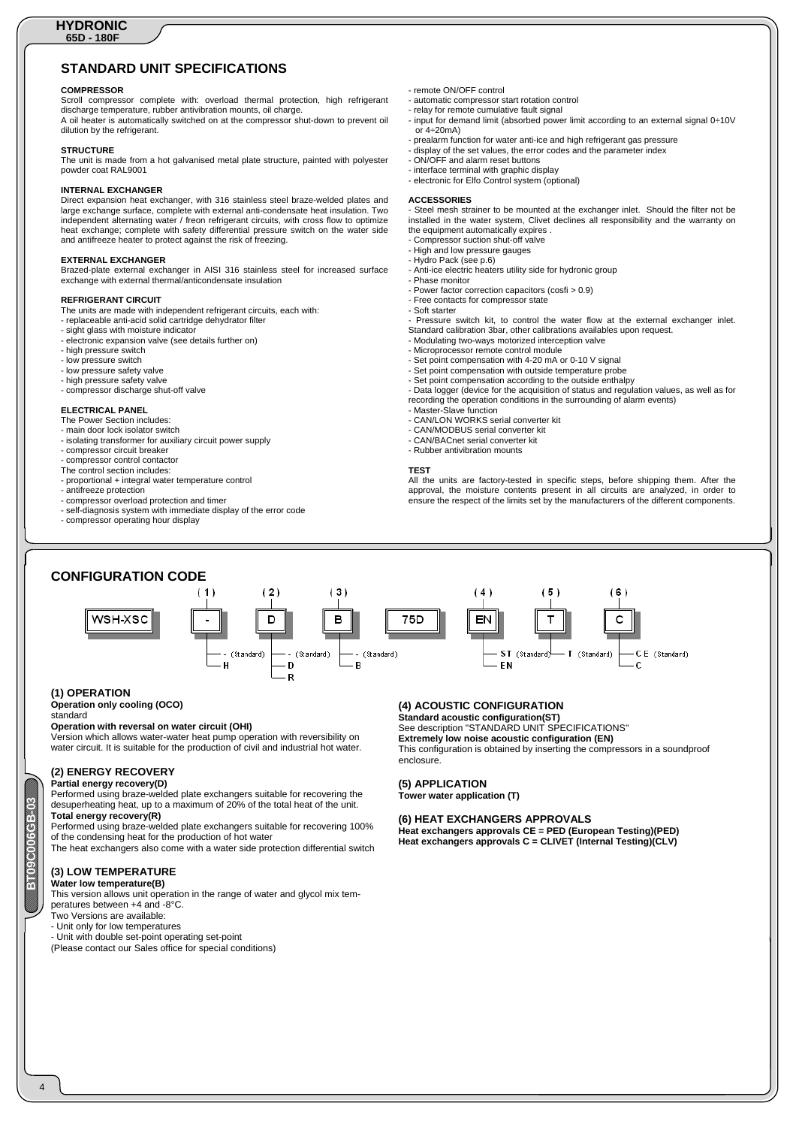# **STANDARD UNIT SPECIFICATIONS**

#### **COMPRESSOR**

Scroll compressor complete with: overload thermal protection, high refrigerant discharge temperature, rubber antivibration mounts, oil charge. A oil heater is automatically switched on at the compressor shut-down to prevent oil dilution by the refrigerant.

#### **STRUCTURE**

The unit is made from a hot galvanised metal plate structure, painted with polyester powder coat RAL9001

#### **INTERNAL EXCHANGER**

Direct expansion heat exchanger, with 316 stainless steel braze-welded plates and large exchange surface, complete with external anti-condensate heat insulation. Two independent alternating water / freon refrigerant circuits, with cross flow to optimize heat exchange; complete with safety differential pressure switch on the water side and antifreeze heater to protect against the risk of freezing.

#### **EXTERNAL EXCHANGER**

Brazed-plate external exchanger in AISI 316 stainless steel for increased surface exchange with external thermal/anticondensate insulation

#### **REFRIGERANT CIRCUIT**

The units are made with independent refrigerant circuits, each with: - replaceable anti-acid solid cartridge dehydrator filter

- sight glass with moisture indicator
- electronic expansion valve (see details further on)
- high pressure switch
- low pressure switch
- low pressure safety valve
- high pressure safety valve
- compressor discharge shut-off valve

#### **ELECTRICAL PANEL**

- The Power Section includes:
- main door lock isolator switch
- isolating transformer for auxiliary circuit power supply
- compressor circuit breaker
- compressor control contactor
- The control section includes:
- proportional + integral water temperature control
- antifreeze protection
- compressor overload protection and timer
- self-diagnosis system with immediate display of the error code
- compressor operating hour display
- remote ON/OFF control
- 
- automatic compressor start rotation control relay for remote cumulative fault signal
- input for demand limit (absorbed power limit according to an external signal 0÷10V or 4÷20mA)
- prealarm function for water anti-ice and high refrigerant gas pressure
- display of the set values, the error codes and the parameter index
- ON/OFF and alarm reset buttons
- interface terminal with graphic display
- electronic for Elfo Control system (optional)

#### **ACCESSORIES**

Steel mesh strainer to be mounted at the exchanger inlet. Should the filter not be installed in the water system, Clivet declines all responsibility and the warranty on the equipment automatically expires .

- Compressor suction shut-off valve
- High and low pressure gauges Hydro Pack (see p.6)
- 
- Anti-ice electric heaters utility side for hydronic group - Phase monitor
- Power factor correction capacitors (cosfi > 0.9)
- Free contacts for compressor state
- Soft starter
- Pressure switch kit, to control the water flow at the external exchanger inlet.
- Standard calibration 3bar, other calibrations availables upon request.
- Modulating two-ways motorized interception valve Microprocessor remote control module
- 
- Set point compensation with 4-20 mA or 0-10 V signal
- 
- Set point compensation with outside temperature probe Set point compensation according to the outside enthalpy
- Data logger (device for the acquisition of status and regulation values, as well as for recording the operation conditions in the surrounding of alarm events) - Master-Slave function
- 
- CAN/LON WORKS serial converter kit
- 
- CAN/MODBUS serial converter kit CAN/BACnet serial converter kit
- Rubber antivibration mounts

#### **TEST**

All the units are factory-tested in specific steps, before shipping them. After the approval, the moisture contents present in all circuits are analyzed, in order to ensure the respect of the limits set by the manufacturers of the different components.



#### **(1) OPERATION**

#### **Operation only cooling (OCO)**

standard

**BECOOR** 

#### **Operation with reversal on water circuit (OHI)**

Version which allows water-water heat pump operation with reversibility on water circuit. It is suitable for the production of civil and industrial hot water.

# **(2) ENERGY RECOVERY**

**Partial energy recovery(D)**  Performed using braze-welded plate exchangers suitable for recovering the

desuperheating heat, up to a maximum of 20% of the total heat of the unit. **Total energy recovery(R)** 

Performed using braze-welded plate exchangers suitable for recovering 100% of the condensing heat for the production of hot water

The heat exchangers also come with a water side protection differential switch

# **(3) LOW TEMPERATURE**

**Water low temperature(B)**  This version allows unit operation in the range of water and glycol mix tem-

peratures between +4 and -8°C. Two Versions are available:

Unit only for low temperatures

- Unit with double set-point operating set-point

(Please contact our Sales office for special conditions)

# **(4) ACOUSTIC CONFIGURATION**

**Standard acoustic configuration(ST)**  See description "STANDARD UNIT SPECIFICATIONS" **Extremely low noise acoustic configuration (EN)**  This configuration is obtained by inserting the compressors in a soundproof enclosure.

#### **(5) APPLICATION Tower water application (T)**

**(6) HEAT EXCHANGERS APPROVALS** 

**Heat exchangers approvals CE = PED (European Testing)(PED) Heat exchangers approvals C = CLIVET (Internal Testing)(CLV)**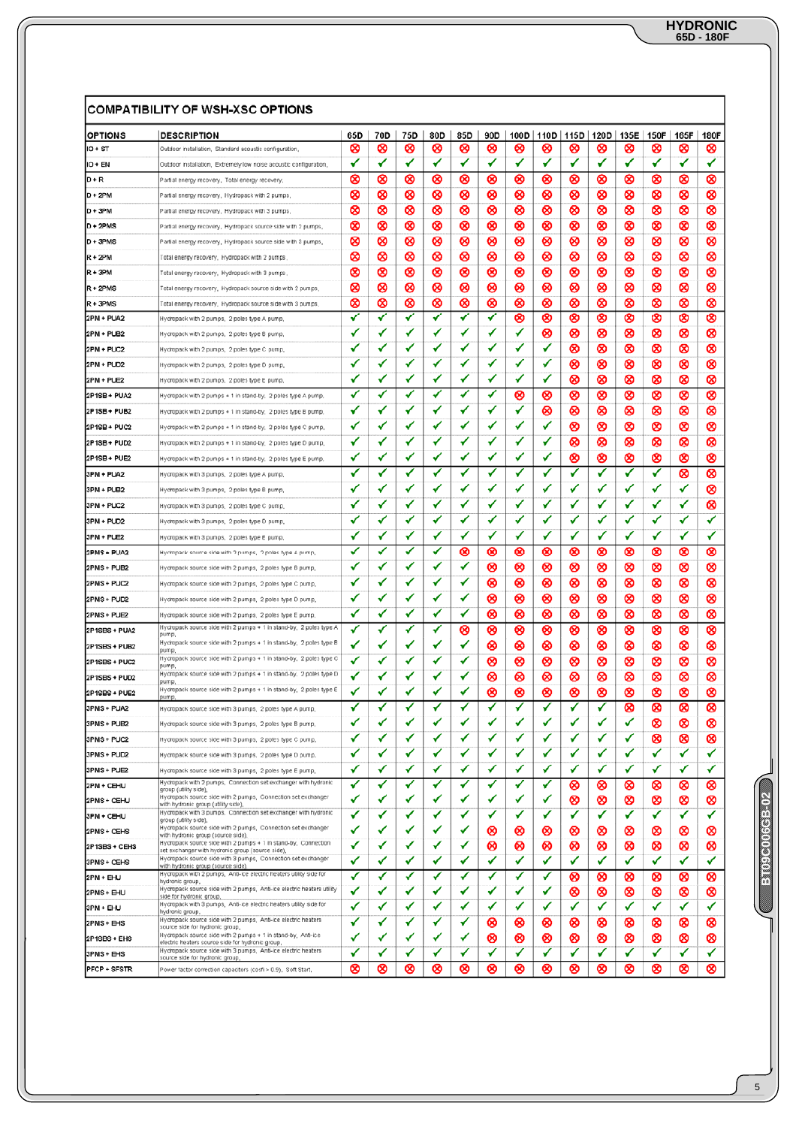|                     | <b>COMPATIBILITY OF WSH-XSC OPTIONS</b>                                                                            |     |     |     |     |     |     |      |      |      |        |        |             |      |             |
|---------------------|--------------------------------------------------------------------------------------------------------------------|-----|-----|-----|-----|-----|-----|------|------|------|--------|--------|-------------|------|-------------|
| <b>OPTIONS</b>      | <b>DESCRIPTION</b>                                                                                                 | 65D | 70D | 75D | 80D | 85D | 90D | 100D | 110D | 115D | 120D   |        | 135E   150F | 165F | <b>180F</b> |
| IO + ST             | Outdoor installation, Standard acoustic configuration,                                                             | ∞   | ⊗   | ∞   | ⊗   | ∞   | ⊗   | ∞    | ∞    | ⊗    | ∞      | ⊗      | ⊗           | ∞    | ⊗           |
| 10 + EN             | Outdoor installation, Extremely low noise acoustic configuration,                                                  | ✔   | ✔   | ✔   | ✔   | ✔   | ✔   | ✔    | ✔    | ✔    | ✔      | ✔      | ✔           | ✔    | ✔           |
| D+R                 | Partial energy recovery, Total energy recovery,                                                                    | ∞   | ⊗   | ⊗   | ∞   | ၓ   | ∞   | ⊗    | ⊗    | ∞    | ၓ      | ∞      | ⊗           | ⊗    | ⊗           |
| D + 2PM             | Partial energy recovery, Hydropack with 2 pumps,                                                                   | ⊗   | ⊗   | 03  | ∞   | ⊗   | ∞   | 0    | ⊗    | ⊗    | ⊗      | ⊗      | ⊗           | ⊗    | ⊗           |
| D + 3PM             | Partial energy recovery, Hydropack with 3 pumps,                                                                   | ၓ   | ⊗   | ⊗   | ၓ   | ၓ   | ၑ   | ⊗    | ⊗    | ၓ    | ၓ      | ၓ      | ⊗           | ೞ    | ⊗           |
| D + 2PMS            | Partial energy recovery, Hydropack source side with 2 pumps,                                                       | ၑ   | ⊗   | ⊗   | ⊗   | ⊗   | ∞   | ⊗    | ⊗    | ⊗    | ⊗      | ⊗      | ⊗           | ⊗    | ⊗           |
| $[D + 3PMS]$        | Partial energy recovery, Hydropack source side with 3 pumps,                                                       | ၓ   | જી  | ⊗   | ၓ   | ⊗   | ⊗   | ⊗    | ⊗    | ⊗    | ⊗      | ⊗      | ⊗           | ⊗    | ⊗           |
| $R + 2PM$           | Total energy recovery, Hydropack with 2 pumps,                                                                     | ၓ   | ⊗   | ⊗   | ၓ   | ၓ   | ၓ   | ⊗    | ⊗    | ∞    | ၓ      | ∞      | ⊗           | ⊗    | ⊗           |
| $R + 3PM$           | Total energy recovery, Hydropack with 3 pumps,                                                                     | ⊗   | ⊗   | ⊗   | ⊗   | ⊗   | ⊗   | ⊗    | ⊗    | ⊗    | ⊗      | ⊗      | ⊗           | ⊗    | ⊗           |
| $R + 2$ PMS         | Total energy recovery, Hydropack source side with 2 pumps,                                                         | ၑ   | ⊗   | ⊗   | ⊗   | ⊗   | ⊗   | ⊗    | ⊗    | ⊗    | ⊗      | ⊗      | ⊗           | 0    | ⊗           |
| $R + 3PMS$          | Total energy recovery, Hydropack source side with 3 pumps,                                                         | ∞   | ⊗   | ⊗   | ⊗   | ⊗   | ∞   | ⊗    | ⊗    | ⊗    | ⊗      | ⊗      | ⊗           | ⊗    | ⊗           |
| 2PM + PUA2          | Hydropack with 2 pumps, 2 poles type A pump,                                                                       | ✔   | ✔   | ✔   | ✔   | ✔   | ✔   | ⊗    | ⊗    | ⊗    | ⊗      | ⊗      | ⊗           | 0    | ⊗           |
| 2PM + PUB2          | Hydropack with 2 pumps, 2 poles type B pump,                                                                       | ✔   | ✓   | ✔   | ✔   | ✔   | ✓   | ✔    | ⊗    | ⊗    | ⊗      | ⊗      | ⊗           | ⊗    | ⊗           |
| 2PM + PUC2          | Hydropack with 2 pumps, 2 poles type C pump,                                                                       | ✔   | ✓   | ✓   | ✔   | ✓   | ✔   | ✓    | ✓    | ⊗    | ⊗      | ⊗      | ⊗           | 0    | ⊗           |
| 2PM + PUD2          | Hydropack with 2 pumps, 2 poles type D pump,                                                                       | ✔   | ✔   | ✔   | ✔   | ✔   | ✔   | ✔    | ✔    | ⊗    | ⊗      | ⊗      | ⊗           | ⊗    | ⊗           |
| 2PM + PUE2          | Hydropack with 2 pumps, 2 poles type E pump,                                                                       | ✔   | ✔   | ✓   | √   | ✔   | ✔   | ✔    | ✔    | ⊗    | ⊗      | ⊗      | ⊗           | ⊗    | ⊗           |
| 2P1SB + PUA2        | Hydropack with 2 pumps + 1 in stand-by, 2 poles type A pump,                                                       | ✔   | ✔   | ✔   | ✔   | ✔   | ✔   | ⊗    | ⊗    | ၓ    | ⊗      | ⊗      | ⊗           | ၓ    | ⊗           |
| 2P1SB + PUB2        | Hydropack with 2 pumps + 1 in stand-by, 2 poles type B pump,                                                       | ✔   | ✔   | ✔   | ✔   | ✔   | ✔   | ✓    | ⊗    | ၓ    | ⊗      | ⊗      | ⊗           | ⊗    | ⊗           |
| 2P1SB + PUC2        | Hydropack with 2 pumps + 1 in stand-by, 2 poles type C pump,                                                       | ✓   | ✓   | ✓   | ✔   | ✓   | ✓   | ✓    | ✓    | Ø    | ⊗      | ∞      | ⊗           | Ø    | ⊗           |
|                     |                                                                                                                    | ✔   | ✔   | ✓   | ✔   | ✔   | ✓   | ✔    | ✓    | 0    |        | ⊗      |             |      | ⊗           |
| 2P1SB+PUD2          | Hydropack with 2 pumps + 1 in stand-by, 2 poles type D pump,                                                       | ✔   | ✓   | ✓   | ✔   | ✔   | ✓   | ✓    | ✓    | ∞    | ⊗      |        | ⊗           | 0    |             |
| 2P1SB+PUE2          | Hydropack with 2 pumps + 1 in stand-by, 2 poles type E pump,                                                       | ✔   | ✓   | ✓   | ✔   | ✓   | ✔   | ✓    | ✓    | ✔    | ⊗<br>✓ | ∞<br>✓ | ⊗<br>✓      | 0    | ∞           |
| 3PM + PUA2          | Hydropack with 3 pumps, 2 poles type A pump.                                                                       |     |     |     |     |     |     |      |      |      |        |        |             | 0    | ⊗           |
| 3PM + PUB2          | Hydropack with 3 pumps, 2 poles type B pump,                                                                       | ✔   | ✓   | ✓   | ✔   | ✓   | ✔   | ✔    | ✓    | ✔    | ✓      | ✓      | ✓           | ✔    | ⊗           |
| 3PM + PUC2          | Hydropack with 3 pumps, 2 poles type C pump,                                                                       | ✔   | ✓   | ✓   | ✓   | ✓   | ✔   | ✓    | ✓    | ✓    | ✓      | ✓      | ✓           | ✓    | ⊗           |
| 3PM + PUD2          | Hydropack with 3 pumps, 2 poles type D pump,                                                                       | √   | ✔   | ✓   | ✔   | ✔   | ✔   | ✓    | ✓    | ✓    | ✓      | ✔      | ✓           | ✓    | ✓           |
| 3PM + PUE2          | Hydropack with 3 pumps, 2 poles type E pump.                                                                       | ✔   | ✔   | ✓   | ✔   | ✓   | ✔   | ✔    | ✓    | ✓    | ✓      | ✔      | ✓           | ✓    | ✓           |
| 2PMS + PUA2         | Hydmpack source side with 2 pumps, 2 poles type A pump,                                                            | ✔   | ✓   | ✓   | ✔   | ⊗   | ⊗   | ⊗    | ⊗    | ∞    | ၜ      | ⊗      | ⊗           | 0    | ⊗           |
| 2PMS+PUB2           | Hydropack source side with 2 pumps, 2 poles type B pump,                                                           | ✔   | ✓   | ✓   | ✔   | ✓   | ⊗   | ⊗    | ⊗    | ⊗    | ⊗      | ⊗      | ⊗           | ⊗    | ⊗           |
| 2PMS+PUC2           | Hydropack source side with 2 pumps, 2 poles type C pump,                                                           | ✔   | ✔   | ✓   | ✔   | ✓   | ⊗   | ⊗    | 0    | ⊗    | ⊗      | ⊗      | ⊗           | 03   | ⊗           |
| 2PMS+PUD2           | Hydropack source side with 2 pumps, 2 poles type D pump,                                                           | ✔   | ✔   | ✔   | ✔   | ✓   | ∞   | 0    | ⊗    | ⊗    | ⊗      | ⊗      | ⊗           | 0    | ⊗           |
| 2PMS+PUE2           | Hydropack source side with 2 pumps, 2 poles type E pump,                                                           | ✓   | ✔   | ✔   | ✔   | ✓   | ∞   | 0    | 0    | ⊗    | ⊗      | ⊗      | 0           | 0    | ⊗           |
| 2P1SBS + PUA2       | Hydropack source side with 2 pumps + 1 in stand-by, 2 poles type A<br>pump                                         | ✓   | ✔   | ✓   | ✔   | ⊗   | ⊗   | ⊗    | ⊗    | ⊗    | ⊗      | ⊗      | ⊗           | 03   | ⊗           |
| 2P1SBS + PUB2       | Hydropack source side with 2 pumps + 1 in stand-by, 2 poles type B<br>pump                                         | ✓   | ✔   | ✔   | ✔   | ✓   | ⊗   | 0    | ⊗    | ၓ    | ⊗      | 8      | ⊗           | 0    | ⊗           |
| 2P1SBS + PUC2       | Hydropack source side with 2 pumps + 1 in stand-by, 2 poles type C<br>pump,                                        | ✔   | ✔   | ✓   | ✔   | ✓   | ⊗   | ⊗    | ⊗    | ⊗    | ⊗      | ⊗      | ⊗           | 03   | ⊗           |
| 2P1SBS + PUD2       | Hydropack source side with 2 pumps + 1 in stand-by, 2 poles type D<br>pump.                                        | ✔   | ✔   | ✔   | √   | ✓   | ⊗   | ⊗    | ⊗    | ⊗    | ⊗      | ⊗      | ⊗           | ⊗    | ⊗           |
| 2P1SBS + PUE2       | Hydropack source side with 2 pumps + 1 in stand-by, 2 poles type E<br>pump                                         |     |     | ✓   |     |     | ⊗   | ⊗    | 0    | 0    | ⊗      | ⊗      | ⊗           | 0    | ⊗           |
| 3PMS+PUA2           | Hydropack source side with 3 pumps, 2 poles type A pump,                                                           |     |     |     |     |     |     |      |      | v    |        | ၑ      | ၓ           | ၓ    | ၑ           |
| 3PMS+PUB2           | Hydropack source side with 3 pumps, 2 poles type B pump,                                                           |     | ✔   | ✔   | ✔   | ✔   | ✔   | ✔    | ✓    | ✔    | ✔      | ✔      | ⊗           | ⊗    | ⊗           |
| 3PMS+PUC2           | Hydropack source side with 3 pumps, 2 poles type C pump,                                                           |     | ✓   | ✓   | ✔   | ✔   | ✓   | ✔    | ✓    | ✔    | ✔      | ✓      | ⊗           | 0    | ⊗           |
| 3PMS + PUD2         | Hydropack source side with 3 pumps, 2 poles type D pump,                                                           | ✓   | ✓   | ✓   | ✔   | ✓   | ✓   | ✓    | ✓    | ✓    | ✓      | ✓      | ✓           | ✓    | ✓           |
| 3PMS+PUE2           | Hydropack source side with 3 pumps, 2 poles type E pump,                                                           | ✔   | ✓   | ✔   | ✔   | ✔   | ✔   | ✔    | ✓    | ✔    | ✔      | ✔      | ✔           | ✓    | ✓           |
| 2PM + CEHU          | Hydropack with 2 pumps. Connection set exchanger with hydronic<br>group (utility side),                            | ✔   | ✔   | ✔   | ✔   | ✔   | √   | ٧    | ✔    | ⊗    | ⊗      | ⊗      | ⊗           | ⊗    | ⊗           |
| 2PMS+ CEHU          | Hydropack source side with 2 pumps, Connection set exchanger<br>with hydronic group (utility side),                | ✓   | ✔   | ✓   | ✔   | ✔   | ✔   | ✓    | ✓    | ⊗    | ⊗      | ⊗      | ⊗           | ⊗    | ⊗           |
| <b>Ізрм + сени</b>  | Hydropack with 3 pumps, Connection set exchanger with hydronic<br>group (utility side).                            | ✔   | ✔   | ✔   |     | ✔   | ✔   | ✓    | ✓    | ✔    | ✓      | ✔      | ✓           | ✔    | ✓           |
| 2PMS+CEHS           | Hydropack source side with 2 pumps, Connection set exchanger<br>with hydronic group (source side),                 | ✔   | ✓   | ✓   | √   | ✓   | ⊗   | ⊗    | ⊗    | ⊗    | ⊗      | ⊗      | ⊗           | ⊗    | ⊗           |
| 2P1SBS + CEHS       | Hydropack source side with 2 pumps + 1 in stand-by, Connection<br>set exchanger with hydronic group (source side), | ✔   | ✔   | ✔   | √   | ✓   | ⊗   | ⊗    | ⊗    | 8    | ⊗      | ⊗      | ⊗           | 0    | ⊗           |
| 3PMS + CEHS         | Hydropack source side with 3 pumps, Connection set exchanger<br>with hydronic group (source side),                 | ✓   | ✔   | ✔   | ✔   | ✓   | ✓   | ✓    | ✓    | ✓    | ✓      | ✓      | ✓           | ✓    | ✓           |
| 2PM + EHU           | Hydropack with 2 pumps, Anti-ice electric heaters utility side for<br>hydranic group.                              | ✔   | ✓   | ✓   | ✔   | ✓   | ✓   | ✓    | ✓    | ⊗    | ⊗      | ⊗      | 0           | 03   | ⊗           |
| <b>2PMS+EHU</b>     | Hydropack source side with 2 pumps, Anti-ice electric heaters utility                                              | ✔   | ✔   | ✔   | ✔   | ✔   | ✔   | ✔    | ✔    | ⊗    | ⊗      | ⊗      | ⊗           | ⊗    | ⊗           |
| 3PM + EHU           | side for hydronic group,<br>Hydropack with 3 pumps, Anti-ice electric heaters utility side for                     | Ý   | ✓   | Ý   | ✔   | ✔   | ✓   | ✓    | Ý    | ✔    | ✓      | ✓      | ✓           | ✓    | ✓           |
| 2PMS+EHS            | hydronic group,<br>Hydropack source side with 2 pumps, Anti-ice electric heaters                                   | ✔   | ✔   | ✔   | ✔   | ✔   | ⊗   | ⊗    | ⊗    | ⊗    | ⊗      | ⊗      | ⊗           | ⊗    | 0           |
| 2P1SBS + EHS        | source side for hydronic group,<br>Hydropack source side with 2 pumps + 1 in stand-by, Anti-Ice                    | ✓   | ✔   | ✓   |     | ✓   | ⊗   | ⊗    | ⊗    | ⊗    | ⊗      | ⊗      | ⊗           | ⊗    | ⊗           |
| 3PMS + EHS          | electric heaters source side for hydronic group,<br>Hydropack source side with 3 pumps, Anti-ice electric heaters  | ✔   | ✔   | ✓   |     | ✓   | ✔   | ✔    | ✓    | ✔    | ✓      | ✔      | ✔           | ✓    | ✔           |
| <b>PFCP + SFSTR</b> | source side for hydronic group,<br>Power factor correction capacitors (cosfi > 0.9), Soft Start,                   | ⊗   | ⊗   | ⊗   | ⊗   | ⊗   | ⊗   | ⊗    | ⊗    | ⊗    | ⊗      | ⊗      | ⊗           | ⊗    | ⊗           |
|                     |                                                                                                                    |     |     |     |     |     |     |      |      |      |        |        |             |      |             |

ENGENINGERY **BT09C006GB-02**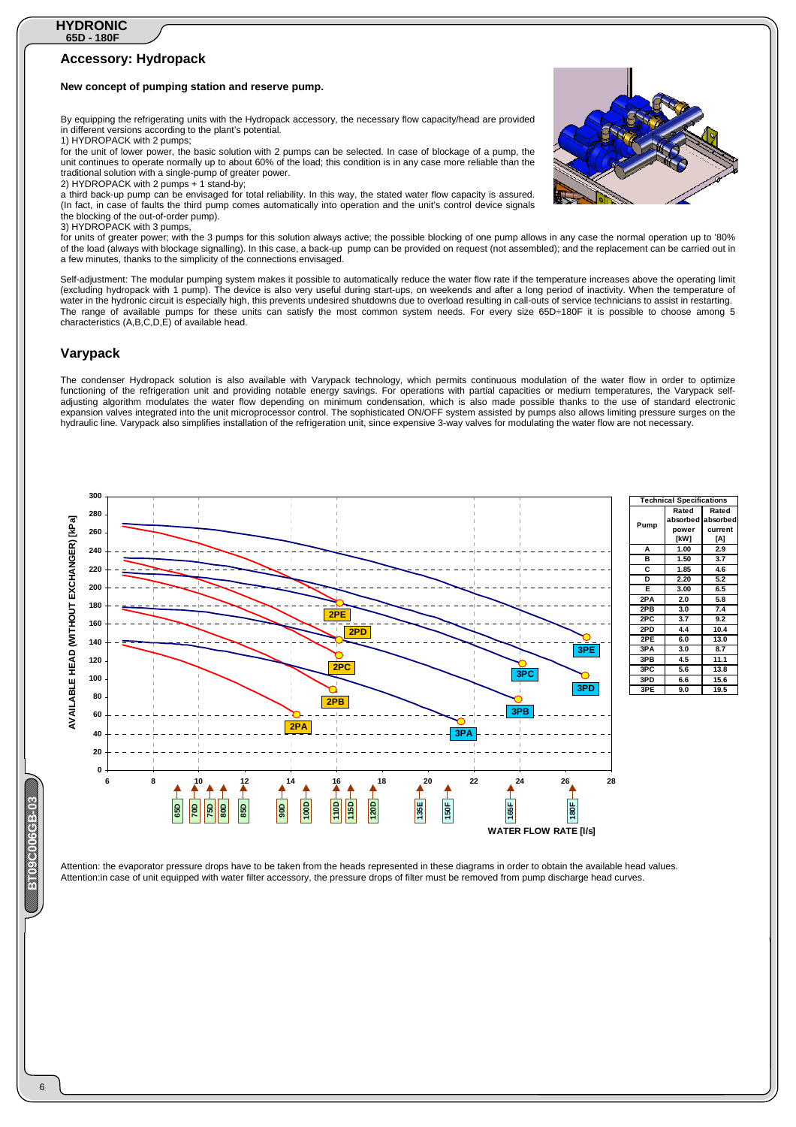#### **Accessory: Hydropack**

#### **New concept of pumping station and reserve pump.**

By equipping the refrigerating units with the Hydropack accessory, the necessary flow capacity/head are provided in different versions according to the plant's potential.

1) HYDROPACK with 2 pumps; for the unit of lower power, the basic solution with 2 pumps can be selected. In case of blockage of a pump, the unit continues to operate normally up to about 60% of the load; this condition is in any case more reliable than the traditional solution with a single-pump of greater power.

2) HYDROPACK with 2 pumps + 1 stand-by; a third back-up pump can be envisaged for total reliability. In this way, the stated water flow capacity is assured. (In fact, in case of faults the third pump comes automatically into operation and the unit's control device signals the blocking of the out-of-order pump).

3) HYDROPACK with 3 pumps,

for units of greater power; with the 3 pumps for this solution always active; the possible blocking of one pump allows in any case the normal operation up to '80% of the load (always with blockage signalling). In this case, a back-up pump can be provided on request (not assembled); and the replacement can be carried out in a few minutes, thanks to the simplicity of the connections envisaged.

Self-adjustment: The modular pumping system makes it possible to automatically reduce the water flow rate if the temperature increases above the operating limit (excluding hydropack with 1 pump). The device is also very useful during start-ups, on weekends and after a long period of inactivity. When the temperature of water in the hydronic circuit is especially high, this prevents undesired shutdowns due to overload resulting in call-outs of service technicians to assist in restarting. The range of available pumps for these units can satisfy the most common system needs. For every size 65D÷180F it is possible to choose among 5 characteristics (A,B,C,D,E) of available head.

#### **Varypack**

**300**

The condenser Hydropack solution is also available with Varypack technology, which permits continuous modulation of the water flow in order to optimize functioning of the refrigeration unit and providing notable energy savings. For operations with partial capacities or medium temperatures, the Varypack selfadjusting algorithm modulates the water flow depending on minimum condensation, which is also made possible thanks to the use of standard electronic expansion valves integrated into the unit microprocessor control. The sophisticated ON/OFF system assisted by pumps also allows limiting pressure surges on the hydraulic line. Varypack also simplifies installation of the refrigeration unit, since expensive 3-way valves for modulating the water flow are not necessary.



**Pump Rated bsorbe powe [kW] Rated absorbe current [A] A 1.00 2.9 B 1.50 3.7 C 1.85 4.6 D 2.20 5.2 E 3.00 6.5 2PA 2.0 5.8** 2PB 3.0 7.4<br>2PC 3.7 9.2 **2PC 3.7 9.2 2PD 4.4 10.4 2PE 6.0 13.0 3PA 3.0 8.7 3PB 4.5 11.1 3PC 5.6 13.8 15.6 3PE 9.0 19.5 Technical Specifications** 

Attention: the evaporator pressure drops have to be taken from the heads represented in these diagrams in order to obtain the available head values. Attention:in case of unit equipped with water filter accessory, the pressure drops of filter must be removed from pump discharge head curves.

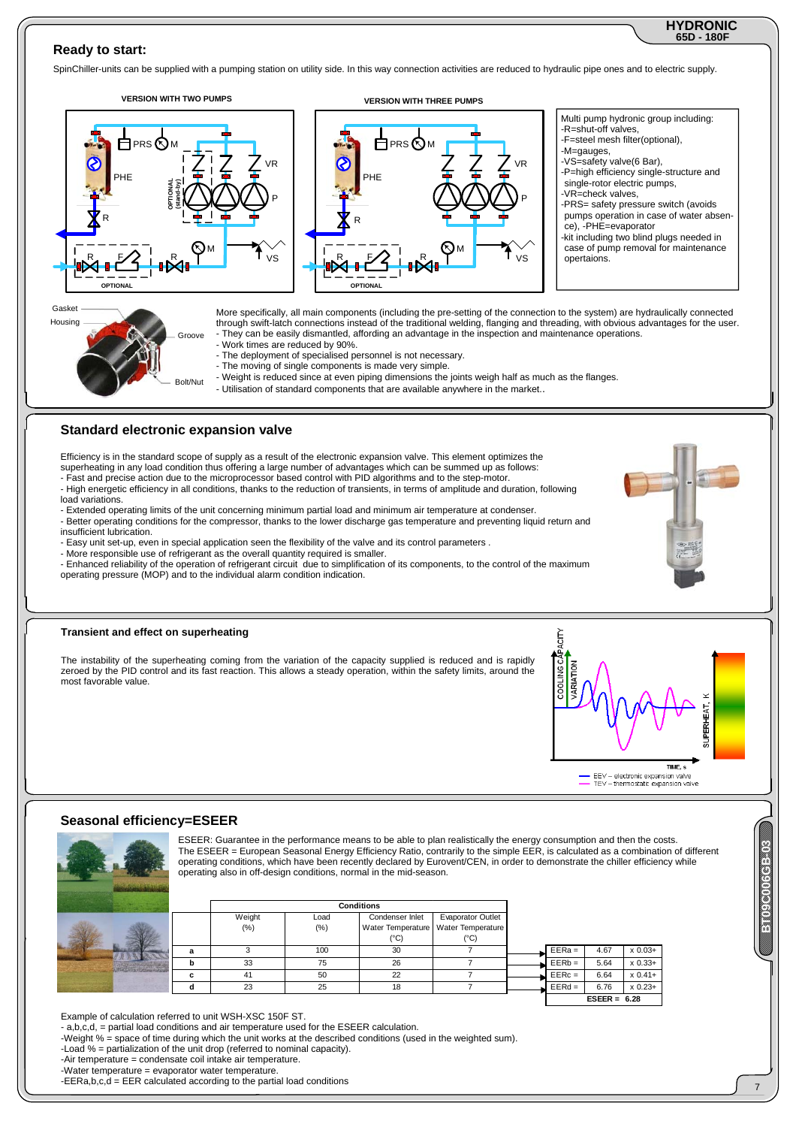#### **65D - 180F HYDRONIC**

#### **Ready to start:**

SpinChiller-units can be supplied with a pumping station on utility side. In this way connection activities are reduced to hydraulic pipe ones and to electric supply.



- superheating in any load condition thus offering a large number of advantages which can be summed up as follows:
- Fast and precise action due to the microprocessor based control with PID algorithms and to the step-motor.
- High energetic efficiency in all conditions, thanks to the reduction of transients, in terms of amplitude and duration, following load variations.
- Extended operating limits of the unit concerning minimum partial load and minimum air temperature at condenser. - Better operating conditions for the compressor, thanks to the lower discharge gas temperature and preventing liquid return and
- insufficient lubrication. - Easy unit set-up, even in special application seen the flexibility of the valve and its control parameters .
- More responsible use of refrigerant as the overall quantity required is smaller.

- Enhanced reliability of the operation of refrigerant circuit due to simplification of its components, to the control of the maximum operating pressure (MOP) and to the individual alarm condition indication.

#### **Transient and effect on superheating**

The instability of the superheating coming from the variation of the capacity supplied is reduced and is rapidly zeroed by the PID control and its fast reaction. This allows a steady operation, within the safety limits, around the most favorable value.



#### **Seasonal efficiency=ESEER**



ESEER: Guarantee in the performance means to be able to plan realistically the energy consumption and then the costs. The ESEER = European Seasonal Energy Efficiency Ratio, contrarily to the simple EER, is calculated as a combination of different operating conditions, which have been recently declared by Eurovent/CEN, in order to demonstrate the chiller efficiency while operating also in off-design conditions, normal in the mid-season.

|   |                  |                | <b>Conditions</b> |                                                                   |          |                |             |
|---|------------------|----------------|-------------------|-------------------------------------------------------------------|----------|----------------|-------------|
|   | Weight<br>$(\%)$ | Load<br>$(\%)$ | Condenser Inlet   | <b>Evaporator Outlet</b><br>Water Temperature   Water Temperature |          |                |             |
|   |                  |                | (°C)              | (°C)                                                              |          |                |             |
|   |                  | 100            | 30                |                                                                   | $EERa =$ | 4.67           | $x 0.03+$   |
|   | 33               | 75             | 26                |                                                                   | $EERb =$ | 5.64           | $x\,0.33+$  |
| c | 41               | 50             | 22                |                                                                   | $EERC =$ | 6.64           | $x 0.41 +$  |
|   | 23               | 25             | 18                |                                                                   | $EERd =$ | 6.76           | $x\,0.23 +$ |
|   |                  |                |                   |                                                                   |          | $ESEER = 6.28$ |             |

Example of calculation referred to unit WSH-XSC 150F ST.

- a,b,c,d, = partial load conditions and air temperature used for the ESEER calculation.

-Weight % = space of time during which the unit works at the described conditions (used in the weighted sum).

-Load % = partialization of the unit drop (referred to nominal capacity).

-Air temperature = condensate coil intake air temperature.

-Water temperature = evaporator water temperature.

-EERa,b,c,d = EER calculated according to the partial load conditions

**BBC0000069B**-03

Contractions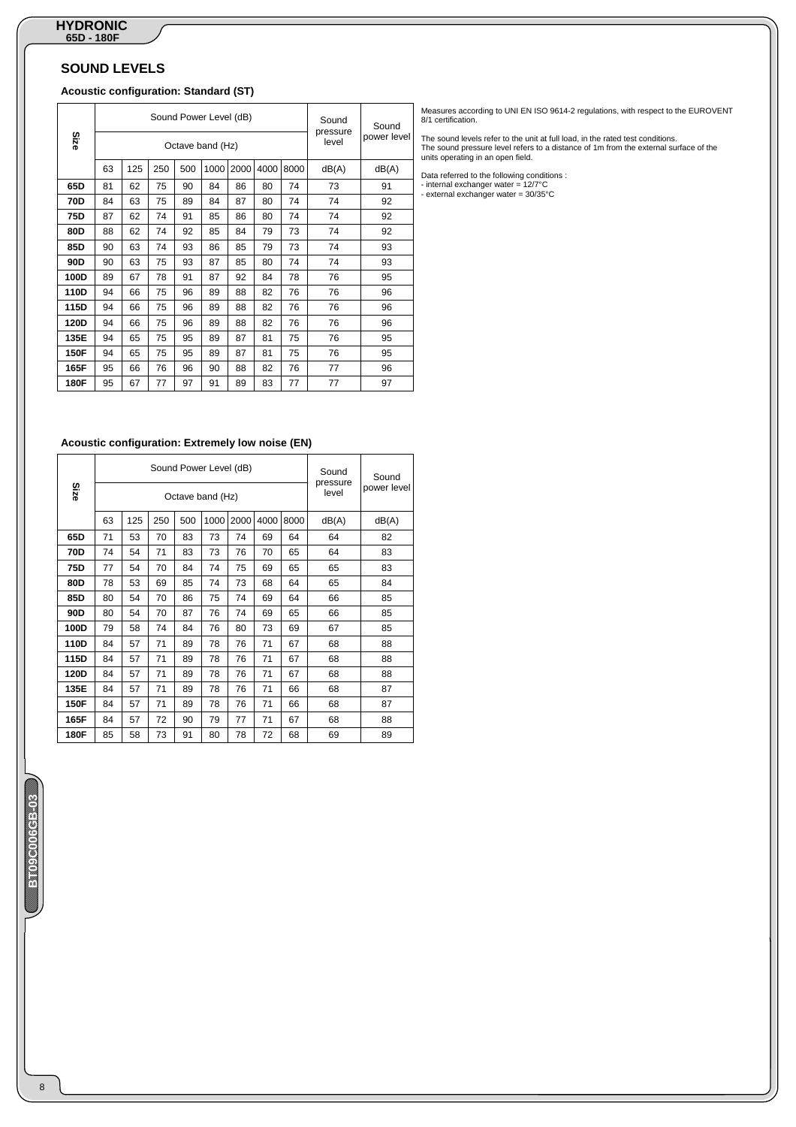# **SOUND LEVELS**

# **Acoustic configuration: Standard (ST)**

|      |    |     |     |     | Sound Power Level (dB) |      |      |      | Sound<br>pressure | Sound       |
|------|----|-----|-----|-----|------------------------|------|------|------|-------------------|-------------|
| Size |    |     |     |     | Octave band (Hz)       |      |      |      | level             | power level |
|      | 63 | 125 | 250 | 500 | 1000                   | 2000 | 4000 | 8000 | dB(A)             | dB(A)       |
| 65D  | 81 | 62  | 75  | 90  | 84                     | 86   | 80   | 74   | 73                | 91          |
| 70D  | 84 | 63  | 75  | 89  | 84                     | 87   | 80   | 74   | 74                | 92          |
| 75D  | 87 | 62  | 74  | 91  | 85                     | 86   | 80   | 74   | 74                | 92          |
| 80D  | 88 | 62  | 74  | 92  | 85                     | 84   | 79   | 73   | 74                | 92          |
| 85D  | 90 | 63  | 74  | 93  | 86                     | 85   | 79   | 73   | 74                | 93          |
| 90D  | 90 | 63  | 75  | 93  | 87                     | 85   | 80   | 74   | 74                | 93          |
| 100D | 89 | 67  | 78  | 91  | 87                     | 92   | 84   | 78   | 76                | 95          |
| 110D | 94 | 66  | 75  | 96  | 89                     | 88   | 82   | 76   | 76                | 96          |
| 115D | 94 | 66  | 75  | 96  | 89                     | 88   | 82   | 76   | 76                | 96          |
| 120D | 94 | 66  | 75  | 96  | 89                     | 88   | 82   | 76   | 76                | 96          |
| 135E | 94 | 65  | 75  | 95  | 89                     | 87   | 81   | 75   | 76                | 95          |
| 150F | 94 | 65  | 75  | 95  | 89                     | 87   | 81   | 75   | 76                | 95          |
| 165F | 95 | 66  | 76  | 96  | 90                     | 88   | 82   | 76   | 77                | 96          |
| 180F | 95 | 67  | 77  | 97  | 91                     | 89   | 83   | 77   | 77                | 97          |

#### **Acoustic configuration: Extremely low noise (EN)**

| Size |    |     |     |     | Sound Power Level (dB)<br>Octave band (Hz) |      |      |      | Sound<br>pressure<br>level | Sound<br>power level |
|------|----|-----|-----|-----|--------------------------------------------|------|------|------|----------------------------|----------------------|
|      |    |     |     |     |                                            |      |      |      |                            |                      |
|      | 63 | 125 | 250 | 500 | 1000                                       | 2000 | 4000 | 8000 | dB(A)                      | dB(A)                |
| 65D  | 71 | 53  | 70  | 83  | 73                                         | 74   | 69   | 64   | 64                         | 82                   |
| 70D  | 74 | 54  | 71  | 83  | 73                                         | 76   | 70   | 65   | 64                         | 83                   |
| 75D  | 77 | 54  | 70  | 84  | 74                                         | 75   | 69   | 65   | 65                         | 83                   |
| 80D  | 78 | 53  | 69  | 85  | 74                                         | 73   | 68   | 64   | 65                         | 84                   |
| 85D  | 80 | 54  | 70  | 86  | 75                                         | 74   | 69   | 64   | 66                         | 85                   |
| 90D  | 80 | 54  | 70  | 87  | 76                                         | 74   | 69   | 65   | 66                         | 85                   |
| 100D | 79 | 58  | 74  | 84  | 76                                         | 80   | 73   | 69   | 67                         | 85                   |
| 110D | 84 | 57  | 71  | 89  | 78                                         | 76   | 71   | 67   | 68                         | 88                   |
| 115D | 84 | 57  | 71  | 89  | 78                                         | 76   | 71   | 67   | 68                         | 88                   |
| 120D | 84 | 57  | 71  | 89  | 78                                         | 76   | 71   | 67   | 68                         | 88                   |
| 135E | 84 | 57  | 71  | 89  | 78                                         | 76   | 71   | 66   | 68                         | 87                   |
| 150F | 84 | 57  | 71  | 89  | 78                                         | 76   | 71   | 66   | 68                         | 87                   |
| 165F | 84 | 57  | 72  | 90  | 79                                         | 77   | 71   | 67   | 68                         | 88                   |
| 180F | 85 | 58  | 73  | 91  | 80                                         | 78   | 72   | 68   | 69                         | 89                   |

Measures according to UNI EN ISO 9614-2 regulations, with respect to the EUROVENT 8/1 certification.

The sound levels refer to the unit at full load, in the rated test conditions. The sound pressure level refers to a distance of 1m from the external surface of the units operating in an open field.

Data referred to the following conditions : - internal exchanger water = 12/7°C - external exchanger water = 30/35°C

# **BT09C006GB-03**  an an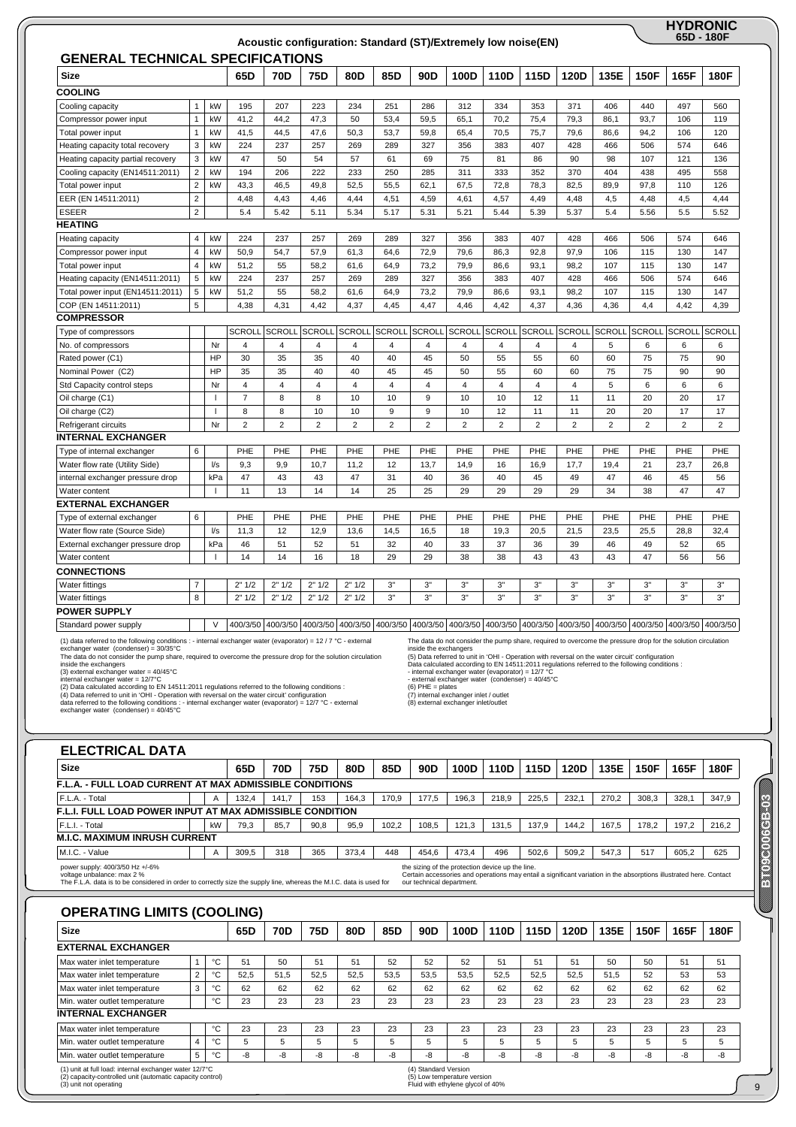|                                                                                                                |                         |                          |                |                |                                     |                |                | Acoustic configuration: Standard (ST)/Extremely low noise(EN)                                                |                |                |                |                |                |                |                                     | <b>HYDRONIC</b><br>65D - 180F |
|----------------------------------------------------------------------------------------------------------------|-------------------------|--------------------------|----------------|----------------|-------------------------------------|----------------|----------------|--------------------------------------------------------------------------------------------------------------|----------------|----------------|----------------|----------------|----------------|----------------|-------------------------------------|-------------------------------|
| <b>GENERAL TECHNICAL SPECIFICATIONS</b>                                                                        |                         |                          |                |                |                                     |                |                |                                                                                                              |                |                |                |                |                |                |                                     |                               |
| <b>Size</b>                                                                                                    |                         |                          | 65D            | <b>70D</b>     | 75D                                 | 80D            | 85D            | 90 <sub>D</sub>                                                                                              | 100D           | 110D           | 115D           | 120D           | 135E           | <b>150F</b>    | 165F                                | 180F                          |
| <b>COOLING</b>                                                                                                 |                         |                          |                |                |                                     |                |                |                                                                                                              |                |                |                |                |                |                |                                     |                               |
| Cooling capacity                                                                                               | 1                       | kW                       | 195            | 207            | 223                                 | 234            | 251            | 286                                                                                                          | 312            | 334            | 353            | 371            | 406            | 440            | 497                                 | 560                           |
| Compressor power input                                                                                         | $\mathbf{1}$            | kW                       | 41,2           | 44,2           | 47,3                                | 50             | 53,4           | 59,5                                                                                                         | 65,1           | 70,2           | 75,4           | 79,3           | 86,1           | 93,7           | 106                                 | 119                           |
| Total power input                                                                                              | $\mathbf{1}$            | kW                       | 41,5           | 44,5           | 47,6                                | 50,3           | 53,7           | 59,8                                                                                                         | 65,4           | 70,5           | 75,7           | 79,6           | 86,6           | 94,2           | 106                                 | 120                           |
| Heating capacity total recovery                                                                                | 3                       | kW                       | 224            | 237            | 257                                 | 269            | 289            | 327                                                                                                          | 356            | 383            | 407            | 428            | 466            | 506            | 574                                 | 646                           |
| Heating capacity partial recovery                                                                              | 3                       | kW                       | 47             | 50             | 54                                  | 57             | 61             | 69                                                                                                           | 75             | 81             | 86             | 90             | 98             | 107            | 121                                 | 136                           |
| Cooling capacity (EN14511:2011)                                                                                | $\mathbf 2$             | kW                       | 194            | 206            | 222                                 | 233            | 250            | 285                                                                                                          | 311            | 333            | 352            | 370            | 404            | 438            | 495                                 | 558                           |
| Total power input                                                                                              | $\overline{2}$          | kW                       | 43,3           | 46,5           | 49,8                                | 52,5           | 55,5           | 62,1                                                                                                         | 67,5           | 72,8           | 78,3           | 82,5           | 89,9           | 97,8           | 110                                 | 126                           |
| EER (EN 14511:2011)                                                                                            | $\overline{2}$          |                          | 4,48           | 4,43           | 4,46                                | 4,44           | 4,51           | 4,59                                                                                                         | 4,61           | 4,57           | 4,49           | 4,48           | 4,5            | 4,48           | 4,5                                 | 4,44                          |
| <b>ESEER</b>                                                                                                   | $\overline{2}$          |                          | 5.4            | 5.42           | 5.11                                | 5.34           | 5.17           | 5.31                                                                                                         | 5.21           | 5.44           | 5.39           | 5.37           | 5.4            | 5.56           | 5.5                                 | 5.52                          |
| <b>HEATING</b>                                                                                                 |                         |                          |                |                |                                     |                |                |                                                                                                              |                |                |                |                |                |                |                                     |                               |
| Heating capacity                                                                                               | 4                       | kW                       | 224            | 237            | 257                                 | 269            | 289            | 327                                                                                                          | 356            | 383            | 407            | 428            | 466            | 506            | 574                                 | 646                           |
| Compressor power input                                                                                         | $\overline{\mathbf{4}}$ | kW                       | 50,9           | 54,7           | 57,9                                | 61,3           | 64,6           | 72,9                                                                                                         | 79,6           | 86,3           | 92,8           | 97,9           | 106            | 115            | 130                                 | 147                           |
| Total power input                                                                                              | 4                       | kW                       | 51,2           | 55             | 58,2                                | 61.6           | 64.9           | 73,2                                                                                                         | 79.9           | 86.6           | 93.1           | 98.2           | 107            | 115            | 130                                 | 147                           |
| Heating capacity (EN14511:2011)                                                                                | 5                       | kW                       | 224            | 237            | 257                                 | 269            | 289            | 327                                                                                                          | 356            | 383            | 407            | 428            | 466            | 506            | 574                                 | 646                           |
| Total power input (EN14511:2011)                                                                               | 5                       | kW                       | 51,2           | 55             | 58,2                                | 61,6           | 64,9           | 73,2                                                                                                         | 79,9           | 86,6           | 93,1           | 98,2           | 107            | 115            | 130                                 | 147                           |
| COP (EN 14511:2011)                                                                                            | 5                       |                          | 4,38           | 4,31           | 4,42                                | 4,37           | 4,45           | 4,47                                                                                                         | 4,46           | 4,42           | 4,37           | 4,36           | 4,36           | 4,4            | 4,42                                | 4,39                          |
| <b>COMPRESSOR</b>                                                                                              |                         |                          |                |                |                                     |                |                |                                                                                                              |                |                |                |                |                |                |                                     |                               |
| Type of compressors                                                                                            |                         |                          | <b>SCROLL</b>  | <b>SCROLL</b>  | <b>SCROLL</b>                       | <b>SCROLL</b>  | <b>SCROLL</b>  | <b>SCROLL</b>                                                                                                | <b>SCROLL</b>  | <b>SCROLL</b>  | <b>SCROLL</b>  | <b>SCROLL</b>  | <b>SCROLL</b>  | <b>SCROLL</b>  | <b>SCROLL</b>                       | <b>SCROLL</b>                 |
| No. of compressors                                                                                             |                         | Nr                       | $\overline{4}$ | $\overline{4}$ | 4                                   | 4              | $\overline{4}$ | $\overline{4}$                                                                                               | $\overline{4}$ | $\overline{4}$ | $\overline{4}$ | $\overline{4}$ | 5              | 6              | 6                                   | 6                             |
| Rated power (C1)                                                                                               |                         | HP                       | 30             | 35             | 35                                  | 40             | 40             | 45                                                                                                           | 50             | 55             | 55             | 60             | 60             | 75             | 75                                  | 90                            |
| Nominal Power (C2)                                                                                             |                         | HP                       | 35             | 35             | 40                                  | 40             | 45             | 45                                                                                                           | 50             | 55             | 60             | 60             | 75             | 75             | 90                                  | 90                            |
| Std Capacity control steps                                                                                     |                         | Nr                       | $\overline{4}$ | $\overline{4}$ | $\overline{4}$                      | $\overline{4}$ | $\overline{4}$ | $\overline{4}$                                                                                               | $\overline{4}$ | 4              | $\overline{4}$ | $\overline{4}$ | 5              | 6              | 6                                   | 6                             |
| Oil charge (C1)                                                                                                |                         |                          | $\overline{7}$ | 8              | 8                                   | 10             | 10             | 9                                                                                                            | 10             | 10             | 12             | 11             | 11             | 20             | 20                                  | 17                            |
| Oil charge (C2)                                                                                                |                         | $\overline{1}$           | 8              | 8              | 10                                  | 10             | 9              | 9                                                                                                            | 10             | 12             | 11             | 11             | 20             | 20             | 17                                  | 17                            |
| Refrigerant circuits                                                                                           |                         | Nr                       | $\overline{2}$ | $\overline{2}$ | $\overline{2}$                      | $\overline{2}$ | $\overline{2}$ | $\overline{2}$                                                                                               | $\overline{2}$ | $\overline{2}$ | $\overline{2}$ | $\overline{2}$ | $\overline{2}$ | $\overline{2}$ | $\overline{2}$                      | $\overline{2}$                |
| <b>INTERNAL EXCHANGER</b>                                                                                      |                         |                          |                |                |                                     |                |                |                                                                                                              |                |                |                |                |                |                |                                     |                               |
| Type of internal exchanger                                                                                     | 6                       |                          | PHE            | PHE            | PHE                                 | PHE            | PHE            | PHE                                                                                                          | PHE            | PHE            | PHE            | PHE            | PHE            | PHE            | PHE                                 | PHE                           |
| Water flow rate (Utility Side)                                                                                 |                         | l/s                      | 9,3            | 9,9            | 10,7                                | 11,2           | 12             | 13,7                                                                                                         | 14,9           | 16             | 16,9           | 17,7           | 19,4           | 21             | 23,7                                | 26,8                          |
| internal exchanger pressure drop                                                                               |                         | kPa                      | 47             | 43             | 43                                  | 47             | 31             | 40                                                                                                           | 36             | 40             | 45             | 49             | 47             | 46             | 45                                  | 56                            |
| Water content                                                                                                  |                         | $\mathbf{I}$             | 11             | 13             | 14                                  | 14             | 25             | 25                                                                                                           | 29             | 29             | 29             | 29             | 34             | 38             | 47                                  | 47                            |
| <b>EXTERNAL EXCHANGER</b>                                                                                      |                         |                          |                |                |                                     |                |                |                                                                                                              |                |                |                |                |                |                |                                     |                               |
| Type of external exchanger                                                                                     | 6                       |                          | PHE            | PHE            | PHE                                 | PHE            | PHE            | PHE                                                                                                          | PHE            | PHE            | PHE            | PHE            | PHE            | PHE            | PHE                                 | PHE                           |
| Water flow rate (Source Side)                                                                                  |                         | $\sqrt{s}$               | 11,3           | 12             | 12,9                                | 13,6           | 14,5           | 16,5                                                                                                         | 18             | 19,3           | 20,5           | 21,5           | 23,5           | 25,5           | 28,8                                | 32,4                          |
| External exchanger pressure drop                                                                               |                         | kPa                      | 46             | 51             | 52                                  | 51             | 32             | 40                                                                                                           | 33             | 37             | 36             | 39             | 46             | 49             | 52                                  | 65                            |
| Water content                                                                                                  |                         | $\overline{\phantom{a}}$ | 14             | 14             | 16                                  | 18             | 29             | 29                                                                                                           | 38             | 38             | 43             | 43             | 43             | 47             | 56                                  | 56                            |
| <b>CONNECTIONS</b>                                                                                             |                         |                          |                |                |                                     |                |                |                                                                                                              |                |                |                |                |                |                |                                     |                               |
| Water fittings                                                                                                 | $\overline{7}$          |                          | 2" 1/2         | 2" 1/2         | 2" 1/2                              | 2" 1/2         | 3"             | 3"                                                                                                           | 3"             | 3"             | 3"             | 3"             | 3"             | 3"             | 3"                                  | 3"                            |
| <b>Water fittings</b>                                                                                          | 8                       |                          | 2" 1/2         | 2" 1/2         | 2" 1/2                              | 2" 1/2         | 3"             | 3"                                                                                                           | 3"             | 3"             | 3"             | 3"             | 3"             | 3"             | 3"                                  | 3"                            |
| POWER SUPPLY                                                                                                   |                         |                          |                |                |                                     |                |                |                                                                                                              |                |                |                |                |                |                |                                     |                               |
| Standard power supply                                                                                          |                         | $\vee$                   | 400/3/50       |                | 400/3/50 400/3/50 400/3/50 400/3/50 |                |                | 400/3/50                                                                                                     | 400/3/50       | 400/3/50       | 400/3/50       |                |                |                | 400/3/50 400/3/50 400/3/50 400/3/50 | 400/3/50                      |
| (1) data referred to the following conditions : - internal exchanger water (evaporator) = 12 / 7 °C - external |                         |                          |                |                |                                     |                |                | The data do not consider the pump share, required to overcome the pressure drop for the solution circulation |                |                |                |                |                |                |                                     |                               |

(1) data referred to the following conditions : - internal exchanger water (evaporator) = 12 / 7 °C - external<br>exchanger water (condenser) = 30/35°C<br>The data do not consider the pump share, required to overcome the pressu

The data do not consider the pump share, required to overcome the pressure drop for the solution circulation<br>inside the exchangers<br>(5) Data referred to unit in 'OHI - Operation with reversal on the water circuit' configur

**BB09000069B** 

ENGELOUGHE

9

| <b>Size</b>                                                     |  |                | 65D   | 70D   | 75D  | 80D   | 85D   | 90D   | 100D  | 110D  | 115D  | 120D  | 135E  | 150F  | 165F  | 180F  |
|-----------------------------------------------------------------|--|----------------|-------|-------|------|-------|-------|-------|-------|-------|-------|-------|-------|-------|-------|-------|
| <b>F.L.A. - FULL LOAD CURRENT AT MAX ADMISSIBLE CONDITIONS</b>  |  |                |       |       |      |       |       |       |       |       |       |       |       |       |       |       |
| F.L.A. - Total                                                  |  | A              | 132,4 | 141.7 | 153  | 164.3 | 170.9 | 177.5 | 196.3 | 218.9 | 225.5 | 232,1 | 270.2 | 308,3 | 328.1 | 347,9 |
| <b>F.L.I. FULL LOAD POWER INPUT AT MAX ADMISSIBLE CONDITION</b> |  |                |       |       |      |       |       |       |       |       |       |       |       |       |       |       |
| F.L.I. - Total                                                  |  | kW             | 79,3  | 85,7  | 90,8 | 95,9  | 102,2 | 108,5 | 121.3 | 131.5 | 137,9 | 144.2 | 167,5 | 178.2 | 197,2 | 216,2 |
| <b>M.I.C. MAXIMUM INRUSH CURRENT</b>                            |  |                |       |       |      |       |       |       |       |       |       |       |       |       |       |       |
| M.I.C. - Value                                                  |  | $\overline{A}$ | 309,5 | 318   | 365  | 373.4 | 448   | 454.6 | 473.4 | 496   | 502.6 | 509,2 | 547.3 | 517   | 605,2 | 625   |

# **OPERATING LIMITS (COOLING)**

| <b>Size</b>                                                                                                                                   |                |    | 65D  | 70D  | 75D  | 80D  | 85D  | 90 <sub>D</sub>      | 100D                                                             | 110D | 115D | 120D | 135E | <b>150F</b> | 165F | 180F |
|-----------------------------------------------------------------------------------------------------------------------------------------------|----------------|----|------|------|------|------|------|----------------------|------------------------------------------------------------------|------|------|------|------|-------------|------|------|
| <b>EXTERNAL EXCHANGER</b>                                                                                                                     |                |    |      |      |      |      |      |                      |                                                                  |      |      |      |      |             |      |      |
| Max water inlet temperature                                                                                                                   |                | °C | 51   | 50   | 51   | 51   | 52   | 52                   | 52                                                               | 51   | 51   | 51   | 50   | 50          | 51   | 51   |
| Max water inlet temperature                                                                                                                   | $\overline{2}$ | °C | 52.5 | 51.5 | 52.5 | 52.5 | 53.5 | 53.5                 | 53.5                                                             | 52.5 | 52.5 | 52.5 | 51.5 | 52          | 53   | 53   |
| Max water inlet temperature                                                                                                                   | 3              | °€ | 62   | 62   | 62   | 62   | 62   | 62                   | 62                                                               | 62   | 62   | 62   | 62   | 62          | 62   | 62   |
| Min. water outlet temperature                                                                                                                 |                | °C | 23   | 23   | 23   | 23   | 23   | 23                   | 23                                                               | 23   | 23   | 23   | 23   | 23          | 23   | 23   |
| <b>INTERNAL EXCHANGER</b>                                                                                                                     |                |    |      |      |      |      |      |                      |                                                                  |      |      |      |      |             |      |      |
| Max water inlet temperature                                                                                                                   |                | °C | 23   | 23   | 23   | 23   | 23   | 23                   | 23                                                               | 23   | 23   | 23   | 23   | 23          | 23   | 23   |
| Min. water outlet temperature                                                                                                                 | 4              | °C | 5    | 5    | 5    |      | 5    | 5                    | 5                                                                | 5    | 5    | 5    | 5    | 5           | 5    | 5    |
| Min. water outlet temperature                                                                                                                 | 5              | ℃  | -8   | -8   | -8   | -8   | -8   | -8                   | -8                                                               | -8   | -8   | -8   | -8   | -8          | -8   | -8   |
| (1) unit at full load: internal exchanger water 12/7°C<br>(2) capacity-controlled unit (automatic capacity control)<br>(3) unit not operating |                |    |      |      |      |      |      | (4) Standard Version | (5) Low temperature version<br>Fluid with ethylene glycol of 40% |      |      |      |      |             |      |      |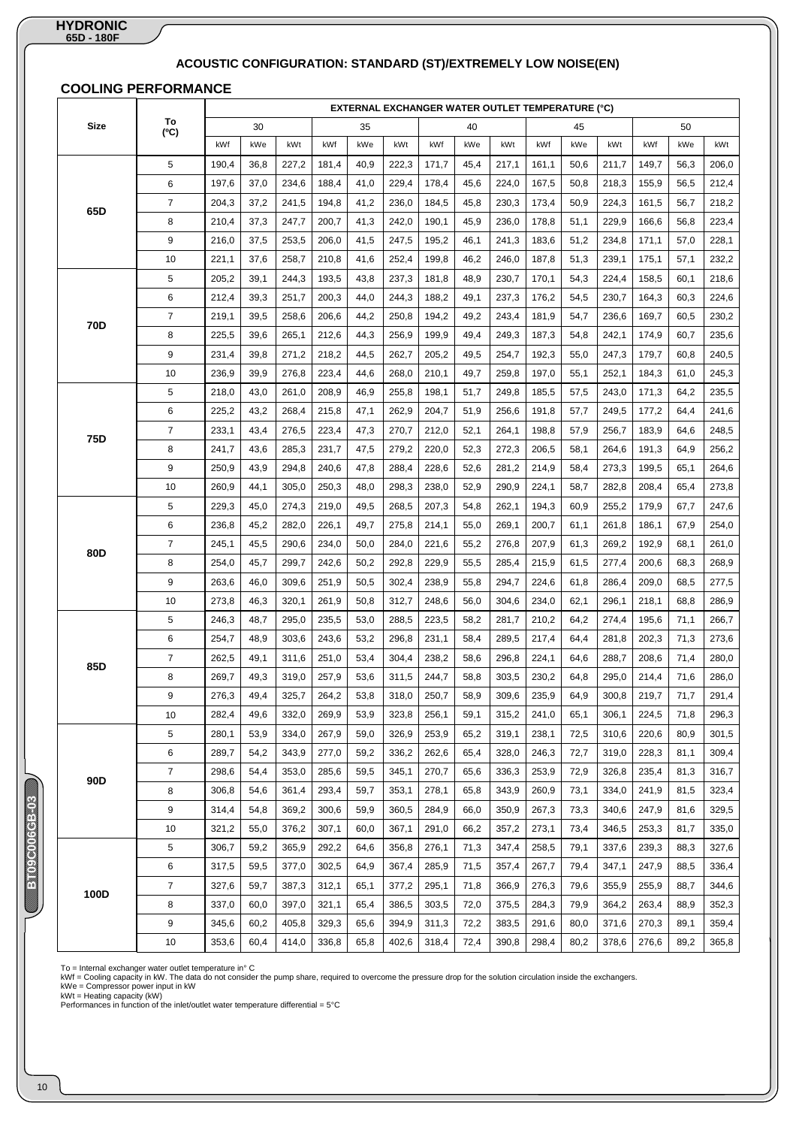# **ACOUSTIC CONFIGURATION: STANDARD (ST)/EXTREMELY LOW NOISE(EN)**

# **COOLING PERFORMANCE**

|             |                |       |      |       |       |      |       |       |      | <b>EXTERNAL EXCHANGER WATER OUTLET TEMPERATURE (°C)</b> |       |      |       |       |      |       |
|-------------|----------------|-------|------|-------|-------|------|-------|-------|------|---------------------------------------------------------|-------|------|-------|-------|------|-------|
| <b>Size</b> | To<br>(C)      |       | 30   |       |       | 35   |       |       | 40   |                                                         |       | 45   |       |       | 50   |       |
|             |                | kWf   | kWe  | kWt   | kWf   | kWe  | kWt   | kWf   | kWe  | kWt                                                     | kWf   | kWe  | kWt   | kWf   | kWe  | kWt   |
|             | 5              | 190,4 | 36,8 | 227,2 | 181,4 | 40,9 | 222,3 | 171,7 | 45,4 | 217,1                                                   | 161,1 | 50,6 | 211,7 | 149,7 | 56,3 | 206,0 |
|             | 6              | 197,6 | 37,0 | 234,6 | 188,4 | 41,0 | 229,4 | 178,4 | 45,6 | 224,0                                                   | 167,5 | 50,8 | 218,3 | 155,9 | 56,5 | 212,4 |
| 65D         | $\overline{7}$ | 204,3 | 37,2 | 241,5 | 194,8 | 41,2 | 236,0 | 184,5 | 45,8 | 230,3                                                   | 173,4 | 50,9 | 224,3 | 161,5 | 56,7 | 218,2 |
|             | 8              | 210,4 | 37,3 | 247,7 | 200,7 | 41,3 | 242,0 | 190,1 | 45,9 | 236,0                                                   | 178,8 | 51,1 | 229,9 | 166,6 | 56,8 | 223,4 |
|             | 9              | 216,0 | 37,5 | 253,5 | 206,0 | 41,5 | 247,5 | 195,2 | 46,1 | 241,3                                                   | 183,6 | 51,2 | 234,8 | 171,1 | 57,0 | 228,1 |
|             | 10             | 221,1 | 37,6 | 258,7 | 210,8 | 41,6 | 252,4 | 199,8 | 46,2 | 246,0                                                   | 187,8 | 51,3 | 239,1 | 175,1 | 57,1 | 232,2 |
|             | 5              | 205,2 | 39,1 | 244,3 | 193,5 | 43,8 | 237,3 | 181,8 | 48,9 | 230,7                                                   | 170,1 | 54,3 | 224,4 | 158,5 | 60,1 | 218,6 |
|             | 6              | 212,4 | 39,3 | 251,7 | 200,3 | 44,0 | 244,3 | 188,2 | 49,1 | 237,3                                                   | 176,2 | 54,5 | 230,7 | 164,3 | 60,3 | 224,6 |
| 70D         | $\overline{7}$ | 219,1 | 39,5 | 258,6 | 206,6 | 44,2 | 250,8 | 194,2 | 49,2 | 243,4                                                   | 181,9 | 54,7 | 236,6 | 169,7 | 60,5 | 230,2 |
|             | 8              | 225,5 | 39,6 | 265,1 | 212,6 | 44,3 | 256,9 | 199,9 | 49,4 | 249,3                                                   | 187,3 | 54,8 | 242,1 | 174,9 | 60,7 | 235,6 |
|             | 9              | 231,4 | 39,8 | 271,2 | 218,2 | 44,5 | 262,7 | 205,2 | 49,5 | 254,7                                                   | 192,3 | 55,0 | 247,3 | 179,7 | 60,8 | 240,5 |
|             | 10             | 236,9 | 39,9 | 276,8 | 223,4 | 44,6 | 268,0 | 210,1 | 49,7 | 259,8                                                   | 197,0 | 55,1 | 252,1 | 184,3 | 61,0 | 245,3 |
|             | 5              | 218,0 | 43,0 | 261,0 | 208,9 | 46,9 | 255,8 | 198,1 | 51,7 | 249,8                                                   | 185,5 | 57,5 | 243,0 | 171,3 | 64,2 | 235,5 |
|             | 6              | 225,2 | 43,2 | 268,4 | 215,8 | 47,1 | 262,9 | 204,7 | 51,9 | 256,6                                                   | 191,8 | 57,7 | 249,5 | 177,2 | 64,4 | 241,6 |
| 75D         | $\overline{7}$ | 233,1 | 43,4 | 276,5 | 223,4 | 47,3 | 270,7 | 212,0 | 52,1 | 264,1                                                   | 198,8 | 57,9 | 256,7 | 183,9 | 64,6 | 248,5 |
|             | 8              | 241,7 | 43,6 | 285,3 | 231,7 | 47,5 | 279,2 | 220,0 | 52,3 | 272,3                                                   | 206,5 | 58,1 | 264,6 | 191,3 | 64,9 | 256,2 |
|             | 9              | 250,9 | 43,9 | 294,8 | 240,6 | 47,8 | 288,4 | 228,6 | 52,6 | 281,2                                                   | 214,9 | 58,4 | 273,3 | 199,5 | 65,1 | 264,6 |
|             | 10             | 260,9 | 44,1 | 305,0 | 250,3 | 48,0 | 298,3 | 238,0 | 52,9 | 290,9                                                   | 224,1 | 58,7 | 282,8 | 208,4 | 65,4 | 273,8 |
|             | 5              | 229,3 | 45,0 | 274,3 | 219,0 | 49,5 | 268,5 | 207,3 | 54,8 | 262,1                                                   | 194,3 | 60,9 | 255,2 | 179,9 | 67,7 | 247,6 |
|             | 6              | 236,8 | 45,2 | 282,0 | 226,1 | 49,7 | 275,8 | 214,1 | 55,0 | 269,1                                                   | 200,7 | 61,1 | 261,8 | 186,1 | 67,9 | 254,0 |
| 80D         | $\overline{7}$ | 245,1 | 45,5 | 290,6 | 234,0 | 50,0 | 284,0 | 221,6 | 55,2 | 276,8                                                   | 207,9 | 61,3 | 269,2 | 192,9 | 68,1 | 261,0 |
|             | 8              | 254,0 | 45,7 | 299,7 | 242,6 | 50,2 | 292,8 | 229,9 | 55,5 | 285,4                                                   | 215,9 | 61,5 | 277,4 | 200,6 | 68,3 | 268,9 |
|             | 9              | 263,6 | 46,0 | 309,6 | 251,9 | 50,5 | 302,4 | 238,9 | 55,8 | 294,7                                                   | 224,6 | 61,8 | 286,4 | 209,0 | 68,5 | 277,5 |
|             | 10             | 273,8 | 46,3 | 320,1 | 261,9 | 50,8 | 312,7 | 248,6 | 56,0 | 304,6                                                   | 234,0 | 62,1 | 296,1 | 218,1 | 68,8 | 286,9 |
|             | 5              | 246,3 | 48,7 | 295,0 | 235,5 | 53,0 | 288,5 | 223,5 | 58,2 | 281,7                                                   | 210,2 | 64,2 | 274,4 | 195,6 | 71,1 | 266,7 |
|             | 6              | 254,7 | 48,9 | 303,6 | 243,6 | 53,2 | 296,8 | 231,1 | 58,4 | 289,5                                                   | 217,4 | 64,4 | 281,8 | 202,3 | 71,3 | 273,6 |
| 85D         | $\overline{7}$ | 262,5 | 49,1 | 311,6 | 251,0 | 53,4 | 304,4 | 238,2 | 58,6 | 296,8                                                   | 224,1 | 64,6 | 288,7 | 208,6 | 71,4 | 280,0 |
|             | 8              | 269,7 | 49,3 | 319,0 | 257,9 | 53,6 | 311,5 | 244,7 | 58,8 | 303,5                                                   | 230,2 | 64,8 | 295,0 | 214,4 | 71,6 | 286,0 |
|             | 9              | 276,3 | 49,4 | 325,7 | 264,2 | 53,8 | 318,0 | 250,7 | 58,9 | 309,6                                                   | 235,9 | 64,9 | 300,8 | 219,7 | 71,7 | 291,4 |
|             | 10             | 282,4 | 49,6 | 332,0 | 269,9 | 53,9 | 323,8 | 256,1 | 59,1 | 315,2                                                   | 241,0 | 65,1 | 306,1 | 224,5 | 71,8 | 296,3 |
|             | 5              | 280,1 | 53,9 | 334,0 | 267,9 | 59,0 | 326,9 | 253,9 | 65,2 | 319,1                                                   | 238,1 | 72,5 | 310,6 | 220,6 | 80,9 | 301,5 |
|             | 6              | 289,7 | 54,2 | 343,9 | 277,0 | 59,2 | 336,2 | 262,6 | 65,4 | 328,0                                                   | 246,3 | 72,7 | 319,0 | 228,3 | 81,1 | 309,4 |
| 90D         | $\overline{7}$ | 298,6 | 54,4 | 353,0 | 285,6 | 59,5 | 345,1 | 270,7 | 65,6 | 336,3                                                   | 253,9 | 72,9 | 326,8 | 235,4 | 81,3 | 316,7 |
|             | 8              | 306,8 | 54,6 | 361,4 | 293,4 | 59,7 | 353,1 | 278,1 | 65,8 | 343,9                                                   | 260,9 | 73,1 | 334,0 | 241,9 | 81,5 | 323,4 |
|             | 9              | 314,4 | 54,8 | 369,2 | 300,6 | 59,9 | 360,5 | 284,9 | 66,0 | 350,9                                                   | 267,3 | 73,3 | 340,6 | 247,9 | 81,6 | 329,5 |
|             | 10             | 321,2 | 55,0 | 376,2 | 307,1 | 60,0 | 367,1 | 291,0 | 66,2 | 357,2                                                   | 273,1 | 73,4 | 346,5 | 253,3 | 81,7 | 335,0 |
|             | 5              | 306,7 | 59,2 | 365,9 | 292,2 | 64,6 | 356,8 | 276,1 | 71,3 | 347,4                                                   | 258,5 | 79,1 | 337,6 | 239,3 | 88,3 | 327,6 |
|             | 6              | 317,5 | 59,5 | 377,0 | 302,5 | 64,9 | 367,4 | 285,9 | 71,5 | 357,4                                                   | 267,7 | 79,4 | 347,1 | 247,9 | 88,5 | 336,4 |
| 100D        | $\overline{7}$ | 327,6 | 59,7 | 387,3 | 312,1 | 65,1 | 377,2 | 295,1 | 71,8 | 366,9                                                   | 276,3 | 79,6 | 355,9 | 255,9 | 88,7 | 344,6 |
|             | 8              | 337,0 | 60,0 | 397,0 | 321,1 | 65,4 | 386,5 | 303,5 | 72,0 | 375,5                                                   | 284,3 | 79,9 | 364,2 | 263,4 | 88,9 | 352,3 |
|             | 9              | 345,6 | 60,2 | 405,8 | 329,3 | 65,6 | 394,9 | 311,3 | 72,2 | 383,5                                                   | 291,6 | 80,0 | 371,6 | 270,3 | 89,1 | 359,4 |
|             | 10             | 353,6 | 60,4 | 414,0 | 336,8 | 65,8 | 402,6 | 318,4 | 72,4 | 390,8                                                   | 298,4 | 80,2 | 378,6 | 276,6 | 89,2 | 365,8 |

To = Internal exchanger water outlet temperature in° C<br>kWf = Cooling capacity in kW. The data do not consider the pump share, required to overcome the pressure drop for the solution circulation inside the exchangers.<br>kWf

**BB**0900000888

**EEDSUGGES**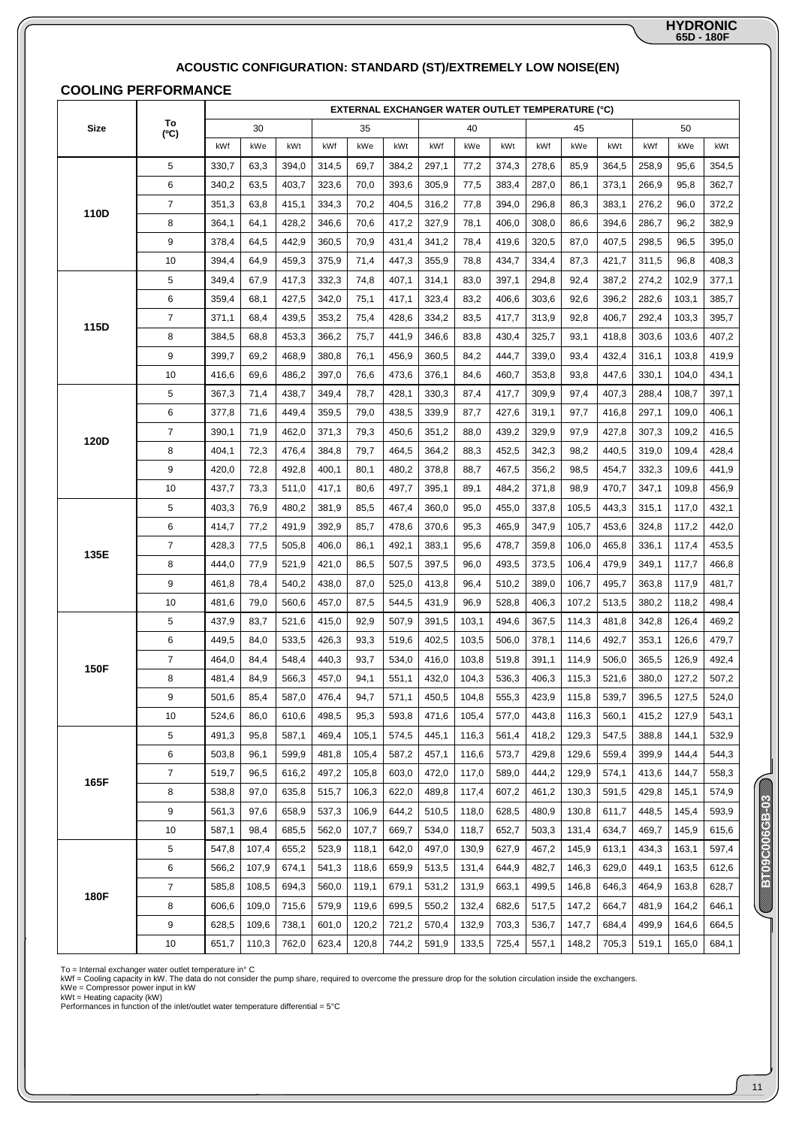# **65D - 180F HYDRONIC**

# **ACOUSTIC CONFIGURATION: STANDARD (ST)/EXTREMELY LOW NOISE(EN)**

# **COOLING PERFORMANCE**

|             |                |       |       |       |       |       |       |       |       |       | EXTERNAL EXCHANGER WATER OUTLET TEMPERATURE (°C) |       |       |       |       |       |
|-------------|----------------|-------|-------|-------|-------|-------|-------|-------|-------|-------|--------------------------------------------------|-------|-------|-------|-------|-------|
| <b>Size</b> | To<br>(C)      |       | 30    |       |       | 35    |       |       | 40    |       |                                                  | 45    |       |       | 50    |       |
|             |                | kWf   | kWe   | kWt   | kWf   | kWe   | kWt   | kWf   | kWe   | kWt   | kWf                                              | kWe   | kWt   | kWf   | kWe   | kWt   |
|             | 5              | 330,7 | 63,3  | 394,0 | 314,5 | 69,7  | 384,2 | 297,1 | 77,2  | 374,3 | 278,6                                            | 85,9  | 364,5 | 258,9 | 95,6  | 354,5 |
|             | 6              | 340,2 | 63,5  | 403,7 | 323,6 | 70,0  | 393,6 | 305,9 | 77,5  | 383,4 | 287,0                                            | 86,1  | 373,1 | 266,9 | 95,8  | 362,7 |
|             | $\overline{7}$ | 351,3 | 63,8  | 415,1 | 334,3 | 70,2  | 404,5 | 316,2 | 77,8  | 394,0 | 296,8                                            | 86,3  | 383,1 | 276,2 | 96,0  | 372,2 |
| 110D        | 8              | 364,1 | 64,1  | 428,2 | 346,6 | 70,6  | 417,2 | 327,9 | 78,1  | 406,0 | 308,0                                            | 86,6  | 394,6 | 286,7 | 96,2  | 382,9 |
|             | 9              | 378,4 | 64,5  | 442,9 | 360,5 | 70,9  | 431,4 | 341,2 | 78,4  | 419,6 | 320,5                                            | 87,0  | 407,5 | 298,5 | 96,5  | 395,0 |
|             | 10             | 394,4 | 64,9  | 459,3 | 375,9 | 71,4  | 447,3 | 355,9 | 78,8  | 434,7 | 334,4                                            | 87,3  | 421,7 | 311,5 | 96,8  | 408,3 |
|             | 5              | 349,4 | 67,9  | 417,3 | 332,3 | 74,8  | 407,1 | 314,1 | 83,0  | 397,1 | 294,8                                            | 92,4  | 387,2 | 274,2 | 102,9 | 377,1 |
|             | 6              | 359,4 | 68,1  | 427,5 | 342,0 | 75,1  | 417,1 | 323,4 | 83,2  | 406,6 | 303,6                                            | 92,6  | 396,2 | 282,6 | 103,1 | 385,7 |
|             | $\overline{7}$ | 371,1 | 68,4  | 439,5 | 353,2 | 75,4  | 428,6 | 334,2 | 83,5  | 417,7 | 313,9                                            | 92,8  | 406,7 | 292,4 | 103,3 | 395,7 |
| 115D        | 8              | 384,5 | 68,8  | 453,3 | 366,2 | 75,7  | 441,9 | 346,6 | 83,8  | 430,4 | 325,7                                            | 93,1  | 418,8 | 303,6 | 103,6 | 407,2 |
|             | 9              | 399,7 | 69,2  | 468,9 | 380,8 | 76,1  | 456,9 | 360,5 | 84,2  | 444,7 | 339,0                                            | 93,4  | 432,4 | 316,1 | 103,8 | 419,9 |
|             | 10             | 416,6 | 69,6  | 486,2 | 397,0 | 76,6  | 473,6 | 376,1 | 84,6  | 460,7 | 353,8                                            | 93,8  | 447,6 | 330,1 | 104,0 | 434,1 |
|             | 5              | 367,3 | 71,4  | 438,7 | 349,4 | 78,7  | 428,1 | 330,3 | 87,4  | 417,7 | 309,9                                            | 97,4  | 407,3 | 288,4 | 108,7 | 397,1 |
|             | 6              | 377,8 | 71,6  | 449,4 | 359,5 | 79,0  | 438,5 | 339,9 | 87,7  | 427,6 | 319,1                                            | 97,7  | 416,8 | 297,1 | 109,0 | 406,1 |
| 120D        | $\overline{7}$ | 390,1 | 71,9  | 462,0 | 371,3 | 79,3  | 450,6 | 351,2 | 88,0  | 439,2 | 329,9                                            | 97,9  | 427,8 | 307,3 | 109,2 | 416,5 |
|             | 8              | 404,1 | 72,3  | 476,4 | 384,8 | 79,7  | 464,5 | 364,2 | 88,3  | 452,5 | 342,3                                            | 98,2  | 440,5 | 319,0 | 109,4 | 428,4 |
|             | 9              | 420,0 | 72,8  | 492,8 | 400,1 | 80,1  | 480,2 | 378,8 | 88,7  | 467,5 | 356,2                                            | 98,5  | 454,7 | 332,3 | 109,6 | 441,9 |
|             | 10             | 437,7 | 73,3  | 511,0 | 417,1 | 80,6  | 497,7 | 395,1 | 89,1  | 484,2 | 371,8                                            | 98,9  | 470,7 | 347,1 | 109,8 | 456,9 |
|             | 5              | 403,3 | 76,9  | 480,2 | 381,9 | 85,5  | 467,4 | 360,0 | 95,0  | 455,0 | 337,8                                            | 105,5 | 443,3 | 315,1 | 117,0 | 432,1 |
|             | 6              | 414,7 | 77,2  | 491,9 | 392,9 | 85,7  | 478,6 | 370,6 | 95,3  | 465,9 | 347,9                                            | 105,7 | 453,6 | 324,8 | 117,2 | 442,0 |
| 135E        | $\overline{7}$ | 428,3 | 77,5  | 505,8 | 406,0 | 86,1  | 492,1 | 383,1 | 95,6  | 478,7 | 359,8                                            | 106,0 | 465,8 | 336,1 | 117,4 | 453,5 |
|             | 8              | 444,0 | 77,9  | 521,9 | 421,0 | 86,5  | 507,5 | 397,5 | 96,0  | 493,5 | 373,5                                            | 106,4 | 479,9 | 349,1 | 117,7 | 466,8 |
|             | 9              | 461,8 | 78,4  | 540,2 | 438,0 | 87,0  | 525,0 | 413,8 | 96,4  | 510,2 | 389,0                                            | 106,7 | 495,7 | 363,8 | 117,9 | 481,7 |
|             | 10             | 481,6 | 79,0  | 560,6 | 457,0 | 87,5  | 544,5 | 431,9 | 96,9  | 528,8 | 406,3                                            | 107,2 | 513,5 | 380,2 | 118,2 | 498,4 |
|             | 5              | 437,9 | 83,7  | 521,6 | 415,0 | 92,9  | 507,9 | 391,5 | 103,1 | 494,6 | 367,5                                            | 114,3 | 481,8 | 342,8 | 126,4 | 469,2 |
|             | 6              | 449,5 | 84,0  | 533,5 | 426,3 | 93,3  | 519,6 | 402,5 | 103,5 | 506,0 | 378,1                                            | 114,6 | 492,7 | 353,1 | 126,6 | 479,7 |
| 150F        | $\overline{7}$ | 464,0 | 84,4  | 548,4 | 440,3 | 93,7  | 534,0 | 416,0 | 103,8 | 519,8 | 391,1                                            | 114,9 | 506,0 | 365,5 | 126,9 | 492,4 |
|             | 8              | 481,4 | 84,9  | 566,3 | 457,0 | 94,1  | 551,1 | 432,0 | 104,3 | 536,3 | 406,3                                            | 115,3 | 521,6 | 380,0 | 127,2 | 507,2 |
|             | 9              | 501.6 | 85,4  | 587,0 | 476,4 | 94,7  | 571,1 | 450,5 | 104,8 | 555,3 | 423,9                                            | 115,8 | 539,7 | 396,5 | 127,5 | 524,0 |
|             | 10             | 524,6 | 86,0  | 610,6 | 498,5 | 95,3  | 593,8 | 471,6 | 105,4 | 577,0 | 443,8                                            | 116,3 | 560,1 | 415,2 | 127,9 | 543,1 |
|             | 5              | 491,3 | 95,8  | 587,1 | 469,4 | 105,1 | 574,5 | 445,1 | 116,3 | 561,4 | 418,2                                            | 129,3 | 547,5 | 388,8 | 144,1 | 532,9 |
|             | 6              | 503,8 | 96,1  | 599,9 | 481,8 | 105,4 | 587,2 | 457,1 | 116,6 | 573,7 | 429,8                                            | 129,6 | 559,4 | 399,9 | 144,4 | 544,3 |
| 165F        | $\overline{7}$ | 519,7 | 96,5  | 616,2 | 497,2 | 105,8 | 603,0 | 472,0 | 117,0 | 589,0 | 444,2                                            | 129,9 | 574,1 | 413,6 | 144,7 | 558,3 |
|             | 8              | 538,8 | 97,0  | 635,8 | 515,7 | 106,3 | 622,0 | 489,8 | 117,4 | 607,2 | 461,2                                            | 130,3 | 591,5 | 429,8 | 145,1 | 574,9 |
|             | 9              | 561,3 | 97,6  | 658,9 | 537,3 | 106,9 | 644,2 | 510,5 | 118,0 | 628,5 | 480,9                                            | 130,8 | 611,7 | 448,5 | 145,4 | 593,9 |
|             | 10             | 587,1 | 98,4  | 685,5 | 562,0 | 107,7 | 669,7 | 534,0 | 118,7 | 652,7 | 503,3                                            | 131,4 | 634,7 | 469,7 | 145,9 | 615,6 |
|             | 5              | 547,8 | 107,4 | 655,2 | 523,9 | 118,1 | 642,0 | 497,0 | 130,9 | 627,9 | 467,2                                            | 145,9 | 613,1 | 434,3 | 163,1 | 597,4 |
|             | 6              | 566,2 | 107,9 | 674,1 | 541,3 | 118,6 | 659,9 | 513,5 | 131,4 | 644,9 | 482,7                                            | 146,3 | 629,0 | 449,1 | 163,5 | 612,6 |
| 180F        | $\overline{7}$ | 585,8 | 108,5 | 694,3 | 560,0 | 119,1 | 679,1 | 531,2 | 131,9 | 663,1 | 499,5                                            | 146,8 | 646,3 | 464,9 | 163,8 | 628,7 |
|             | 8              | 606,6 | 109,0 | 715,6 | 579,9 | 119,6 | 699,5 | 550,2 | 132,4 | 682,6 | 517,5                                            | 147,2 | 664,7 | 481,9 | 164,2 | 646,1 |
|             | 9              | 628,5 | 109,6 | 738,1 | 601,0 | 120,2 | 721,2 | 570,4 | 132,9 | 703,3 | 536,7                                            | 147,7 | 684,4 | 499,9 | 164,6 | 664,5 |
|             | 10             | 651,7 | 110,3 | 762,0 | 623,4 | 120,8 | 744,2 | 591,9 | 133,5 | 725,4 | 557,1                                            | 148,2 | 705,3 | 519,1 | 165,0 | 684,1 |

To = Internal exchanger water outlet temperature in° C<br>kWf = Cooling capacity in kW. The data do not consider the pump share, required to overcome the pressure drop for the solution circulation inside the exchangers.<br>kWf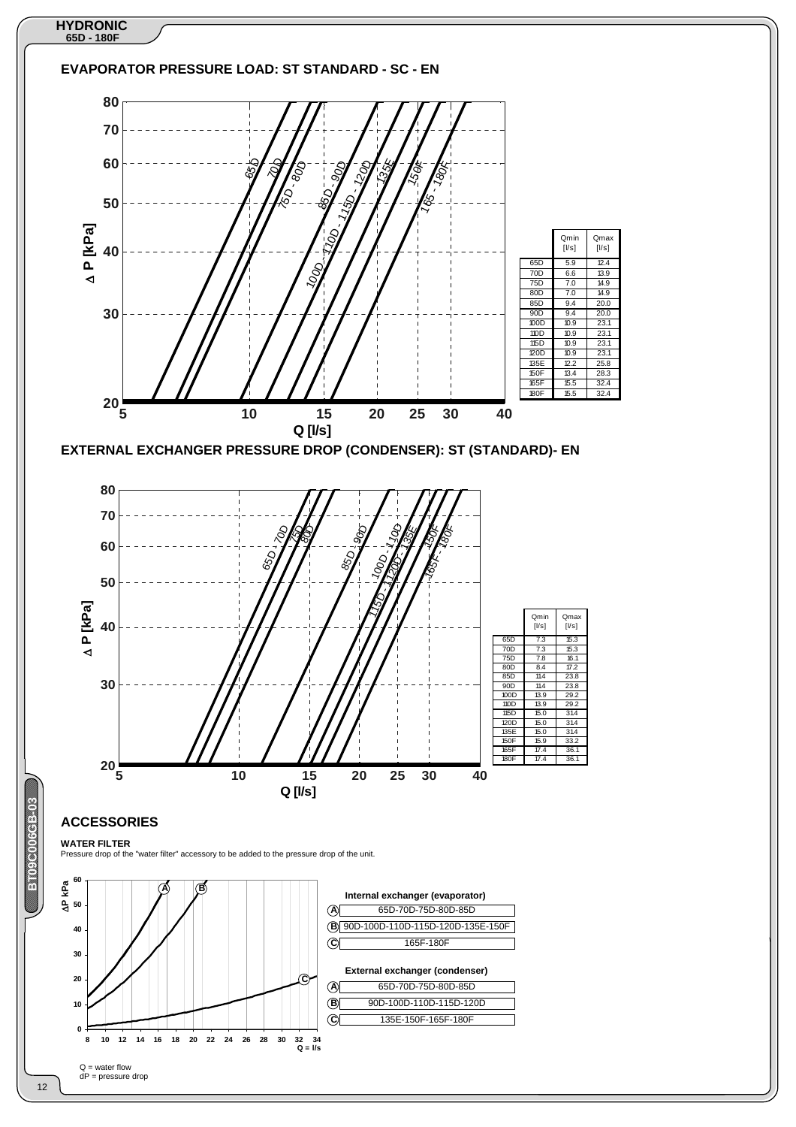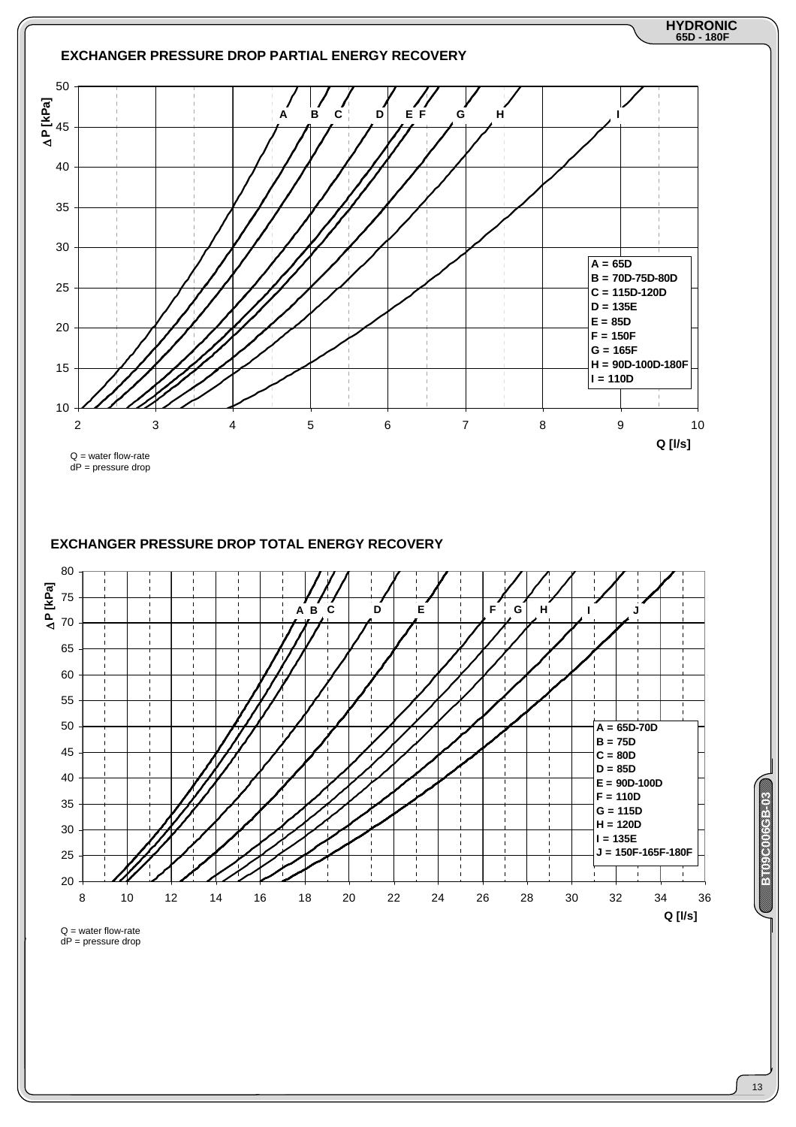

dP = pressure drop

13

**BBC0000069B** 

**ENGINE CONSIST**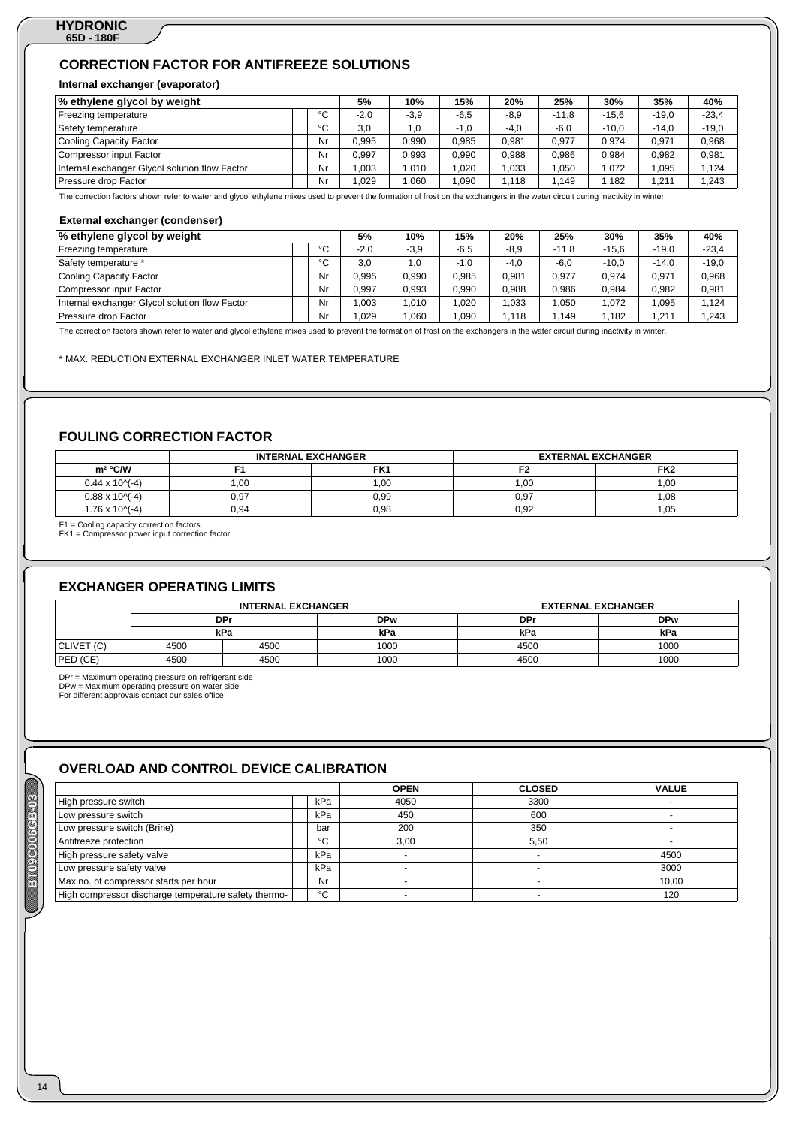# **CORRECTION FACTOR FOR ANTIFREEZE SOLUTIONS**

### **Internal exchanger (evaporator)**

| % ethylene glycol by weight                    |        | 5%     | 10%    | 15%    | 20%    | 25%     | 30%     | 35%     | 40%     |
|------------------------------------------------|--------|--------|--------|--------|--------|---------|---------|---------|---------|
| Freezing temperature                           | $\sim$ | $-2.0$ | $-3,9$ | $-6.5$ | $-8,9$ | $-11.8$ | $-15.6$ | $-19.0$ | $-23,4$ |
| Safety temperature                             | °C     | 3.0    | 1.0    | $-1.0$ | $-4.0$ | $-6,0$  | $-10.0$ | $-14.0$ | $-19,0$ |
| Cooling Capacity Factor                        | Nr     | 0.995  | 0,990  | 0,985  | 0,981  | 0,977   | 0,974   | 0,971   | 0,968   |
| Compressor input Factor                        | Nr     | 0.997  | 0,993  | 0,990  | 0,988  | 0,986   | 0,984   | 0,982   | 0,981   |
| Internal exchanger Glycol solution flow Factor | Nr     | 1.003  | .010   | 1.020  | 1.033  | .050    | 1.072   | 1.095   | 1.124   |
| Pressure drop Factor                           | Nr     | 1,029  | ,060   | 090, ا | 1.118  | ,149    | ,182    | 1,211   | 1,243   |

The correction factors shown refer to water and glycol ethylene mixes used to prevent the formation of frost on the exchangers in the water circuit during inactivity in winter.

#### **External exchanger (condenser)**

| % ethylene glycol by weight                    |    | 5%     | 10%    | 15%    | 20%    | 25%     | 30%     | 35%     | 40%     |
|------------------------------------------------|----|--------|--------|--------|--------|---------|---------|---------|---------|
| Freezing temperature                           | °C | $-2.0$ | $-3,9$ | $-6,5$ | $-8,9$ | $-11.8$ | $-15.6$ | $-19.0$ | $-23,4$ |
| Safety temperature *                           | °C | 3.0    | 1,0    | $-1,0$ | $-4,0$ | $-6,0$  | $-10.0$ | $-14.0$ | $-19,0$ |
| Cooling Capacity Factor                        | Nr | 0.995  | 0,990  | 0,985  | 0.981  | 0.977   | 0.974   | 0.971   | 0,968   |
| Compressor input Factor                        | Nr | 0.997  | 0.993  | 0,990  | 0.988  | 0.986   | 0.984   | 0.982   | 0,981   |
| Internal exchanger Glycol solution flow Factor | Nr | 1.003  | .010   | 1,020  | 1.033  | .050    | 1.072   | .095    | 1,124   |
| Pressure drop Factor                           | Nr | .029   | .060   | .090   | 1.118  | 149     | .182    | .211    | .243    |

The correction factors shown refer to water and glycol ethylene mixes used to prevent the formation of frost on the exchangers in the water circuit during inactivity in winter.

\* MAX. REDUCTION EXTERNAL EXCHANGER INLET WATER TEMPERATURE

# **FOULING CORRECTION FACTOR**

|                       |      | <b>INTERNAL EXCHANGER</b> | <b>EXTERNAL EXCHANGER</b> |                 |
|-----------------------|------|---------------------------|---------------------------|-----------------|
| $m^2$ °C/W            |      | FK1                       |                           | FK <sub>2</sub> |
| $0.44 \times 10^{-4}$ | 00,  | 00.1                      | .00                       | 1.00            |
| $0.88 \times 10^{-4}$ | 0,97 | 0.99                      | 0.97                      | 1.08            |
| $1.76 \times 10^{-4}$ | 0.94 | 0.98                      | 0.92                      | 1.05            |

F1 = Cooling capacity correction factors FK1 = Compressor power input correction factor

# **EXCHANGER OPERATING LIMITS**

|            |      | <b>INTERNAL EXCHANGER</b> |            |            | <b>EXTERNAL EXCHANGER</b> |  |  |  |
|------------|------|---------------------------|------------|------------|---------------------------|--|--|--|
|            |      | DPr                       | <b>DPw</b> | <b>DPr</b> | <b>DPw</b>                |  |  |  |
|            |      | kPa                       | kPa        | kPa        | kPa                       |  |  |  |
| CLIVET (C) | 4500 | 4500                      | 1000       | 4500       | 1000                      |  |  |  |
| PED (CE)   | 4500 | 4500                      | 1000       | 4500       | 1000                      |  |  |  |

DPr = Maximum operating pressure on refrigerant side DPw = Maximum operating pressure on water side For different approvals contact our sales office

**BE09C00063B** 

14

# **OVERLOAD AND CONTROL DEVICE CALIBRATION**

|                                                      |     | <b>OPEN</b> | <b>CLOSED</b> | <b>VALUE</b> |
|------------------------------------------------------|-----|-------------|---------------|--------------|
| High pressure switch                                 | kPa | 4050        | 3300          |              |
| Low pressure switch                                  | kPa | 450         | 600           |              |
| Low pressure switch (Brine)                          | bar | 200         | 350           |              |
| Antifreeze protection                                | °C  | 3.00        | 5.50          |              |
| High pressure safety valve                           | kPa |             |               | 4500         |
| Low pressure safety valve                            | kPa |             |               | 3000         |
| Max no. of compressor starts per hour                | Nr  |             |               | 10,00        |
| High compressor discharge temperature safety thermo- | °C  |             |               | 120          |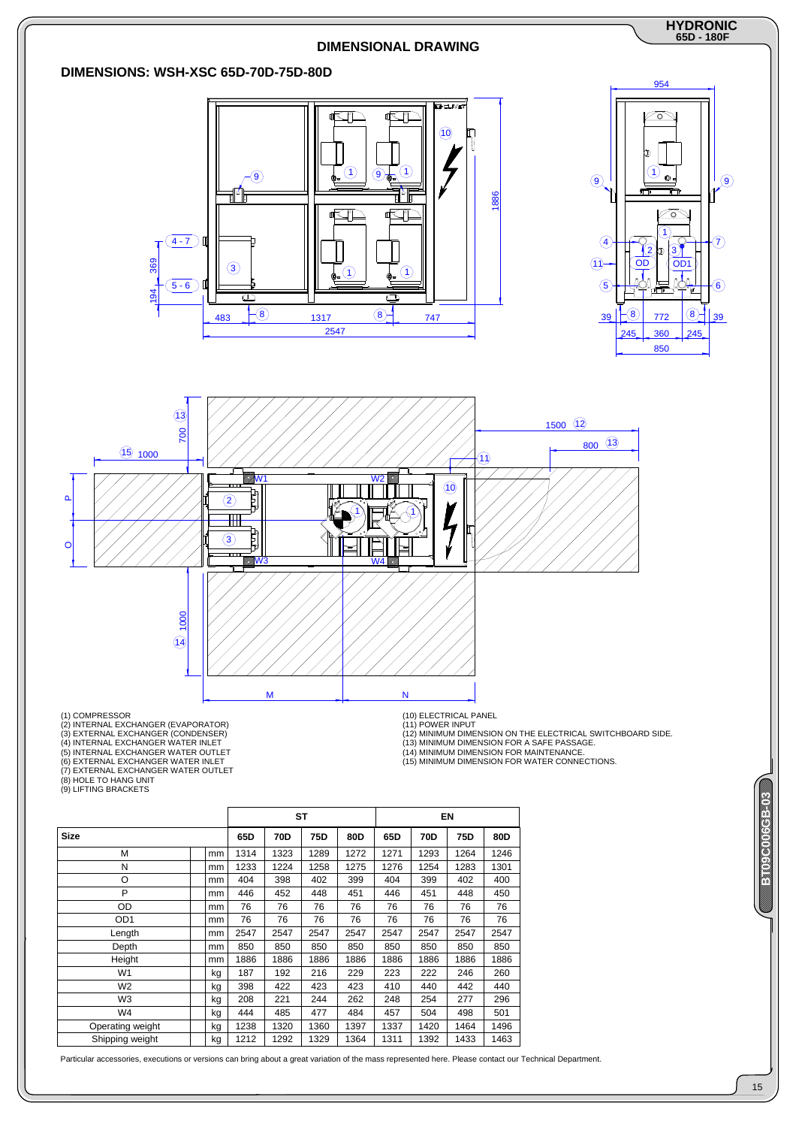

|                  |               |      | <b>ST</b> |      |      |      | EN   |      |      |
|------------------|---------------|------|-----------|------|------|------|------|------|------|
| Size             |               | 65D  | 70D       | 75D  | 80D  | 65D  | 70D  | 75D  | 80D  |
| M                | mm            | 1314 | 1323      | 1289 | 1272 | 1271 | 1293 | 1264 | 1246 |
| N                | mm            | 1233 | 1224      | 1258 | 1275 | 1276 | 1254 | 1283 | 1301 |
| O                | mm            | 404  | 398       | 402  | 399  | 404  | 399  | 402  | 400  |
| P                | mm            | 446  | 452       | 448  | 451  | 446  | 451  | 448  | 450  |
| OD               | <sub>mm</sub> | 76   | 76        | 76   | 76   | 76   | 76   | 76   | 76   |
| OD <sub>1</sub>  | mm            | 76   | 76        | 76   | 76   | 76   | 76   | 76   | 76   |
| Length           | mm            | 2547 | 2547      | 2547 | 2547 | 2547 | 2547 | 2547 | 2547 |
| Depth            | mm            | 850  | 850       | 850  | 850  | 850  | 850  | 850  | 850  |
| Height           | mm            | 1886 | 1886      | 1886 | 1886 | 1886 | 1886 | 1886 | 1886 |
| W <sub>1</sub>   | kg            | 187  | 192       | 216  | 229  | 223  | 222  | 246  | 260  |
| W <sub>2</sub>   | kg            | 398  | 422       | 423  | 423  | 410  | 440  | 442  | 440  |
| W3               | kg            | 208  | 221       | 244  | 262  | 248  | 254  | 277  | 296  |
| W4               | kg            | 444  | 485       | 477  | 484  | 457  | 504  | 498  | 501  |
| Operating weight | kg            | 1238 | 1320      | 1360 | 1397 | 1337 | 1420 | 1464 | 1496 |
| Shipping weight  | kg            | 1212 | 1292      | 1329 | 1364 | 1311 | 1392 | 1433 | 1463 |

Particular accessories, executions or versions can bring about a great variation of the mass represented here. Please contact our Technical Department.

# ENGELOUISE **BBC0000069B**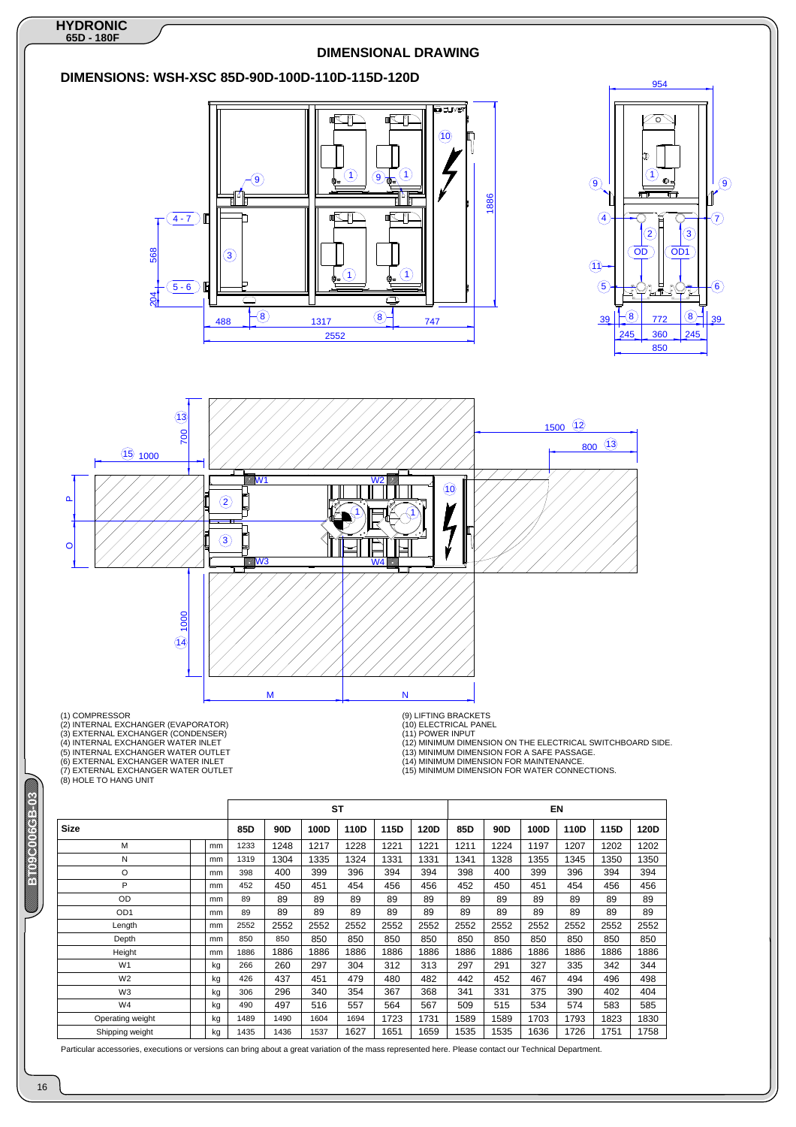

Particular accessories, executions or versions can bring about a great variation of the mass represented here. Please contact our Technical Department

16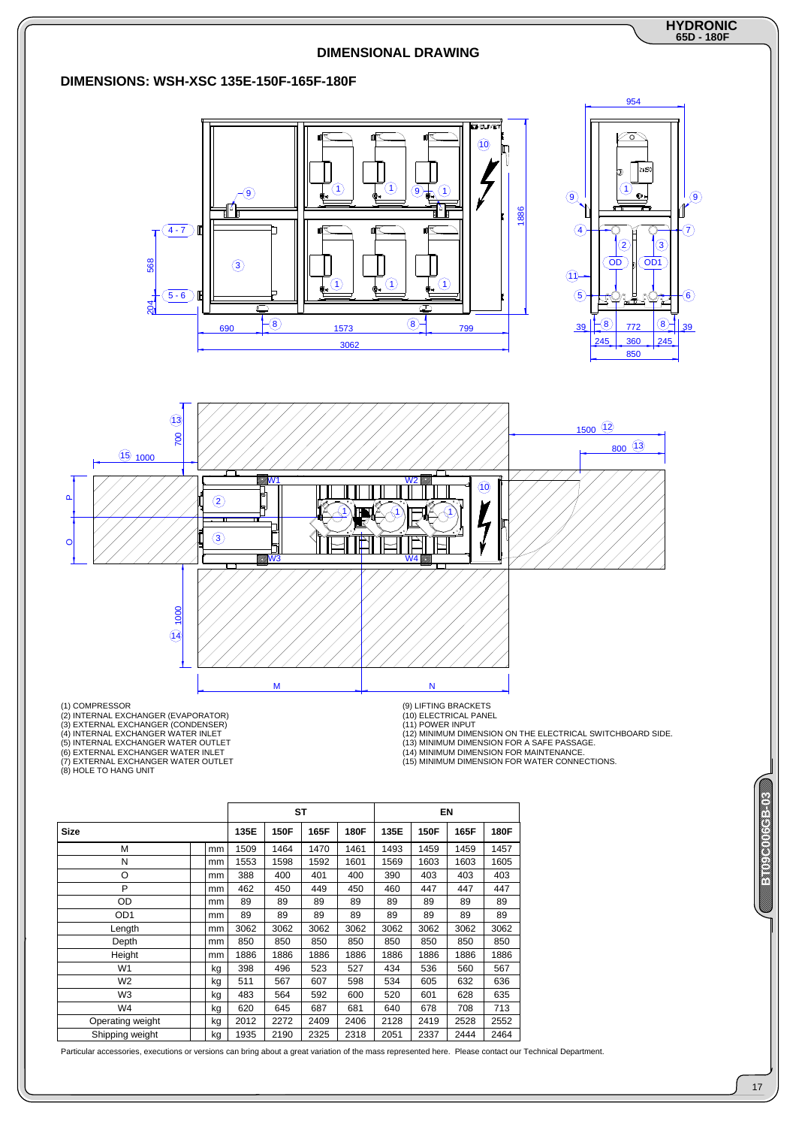

|                  |  |    | ST   |      |      | EN   |      |      |      |      |
|------------------|--|----|------|------|------|------|------|------|------|------|
| <b>Size</b>      |  |    | 135E | 150F | 165F | 180F | 135E | 150F | 165F | 180F |
| М                |  | mm | 1509 | 1464 | 1470 | 1461 | 1493 | 1459 | 1459 | 1457 |
| N                |  | mm | 1553 | 1598 | 1592 | 1601 | 1569 | 1603 | 1603 | 1605 |
| O                |  | mm | 388  | 400  | 401  | 400  | 390  | 403  | 403  | 403  |
| P                |  | mm | 462  | 450  | 449  | 450  | 460  | 447  | 447  | 447  |
| OD               |  | mm | 89   | 89   | 89   | 89   | 89   | 89   | 89   | 89   |
| OD <sub>1</sub>  |  | mm | 89   | 89   | 89   | 89   | 89   | 89   | 89   | 89   |
| Length           |  | mm | 3062 | 3062 | 3062 | 3062 | 3062 | 3062 | 3062 | 3062 |
| Depth            |  | mm | 850  | 850  | 850  | 850  | 850  | 850  | 850  | 850  |
| Height           |  | mm | 1886 | 1886 | 1886 | 1886 | 1886 | 1886 | 1886 | 1886 |
| W <sub>1</sub>   |  | kg | 398  | 496  | 523  | 527  | 434  | 536  | 560  | 567  |
| W <sub>2</sub>   |  | kg | 511  | 567  | 607  | 598  | 534  | 605  | 632  | 636  |
| W3               |  | kg | 483  | 564  | 592  | 600  | 520  | 601  | 628  | 635  |
| W4               |  | kg | 620  | 645  | 687  | 681  | 640  | 678  | 708  | 713  |
| Operating weight |  | kg | 2012 | 2272 | 2409 | 2406 | 2128 | 2419 | 2528 | 2552 |
| Shipping weight  |  | kg | 1935 | 2190 | 2325 | 2318 | 2051 | 2337 | 2444 | 2464 |

Particular accessories, executions or versions can bring about a great variation of the mass represented here. Please contact our Technical Department.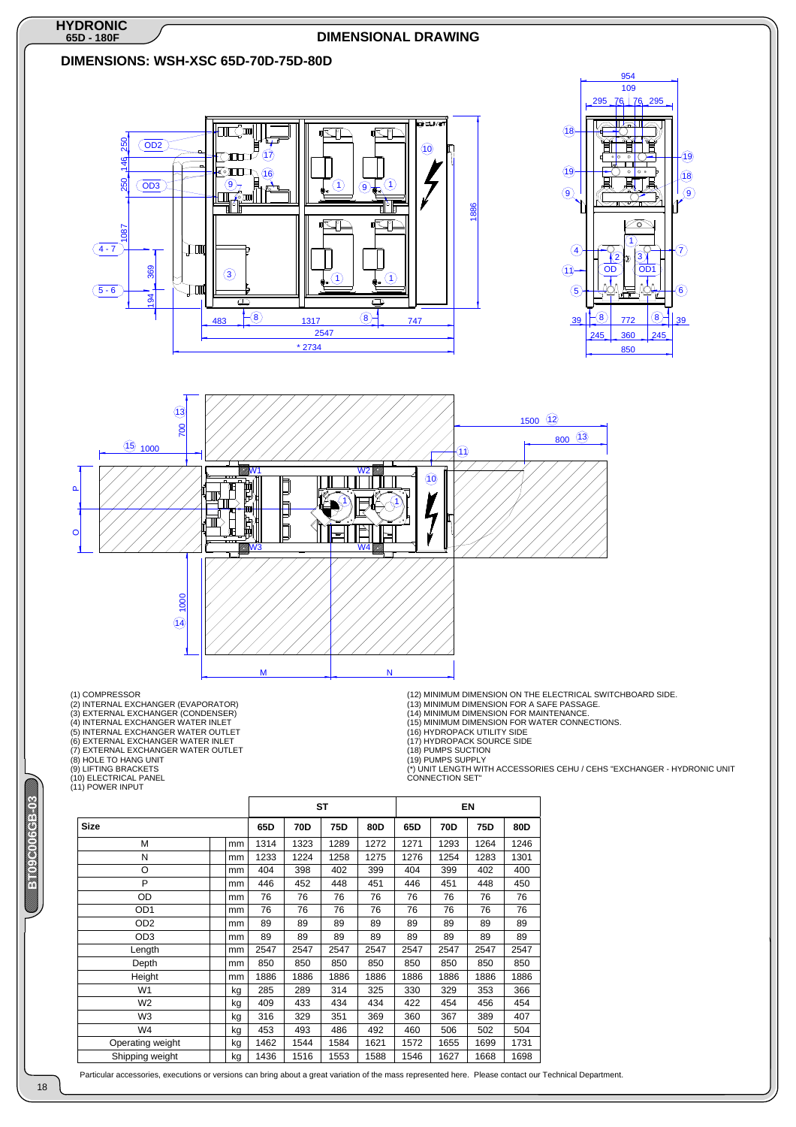

Particular accessories, executions or versions can bring about a great variation of the mass represented here. Please contact our Technical Department.

W2  $\parallel$  kg | 409 | 433 | 434 | 434 | 422 | 454 | 456 | 454 W3 | | kg | 316 | 329 | 351 | 369 | 360 | 367 | 389 | 407 W4 kg 453 493 486 492 460 506 502 504 Operating weight | | kg | 1462 | 1544 | 1584 | 1621 | 1572 | 1655 | 1699 | 1731 Shipping weight kg 1436 1516 1553 1588 1546 1627 1668 1698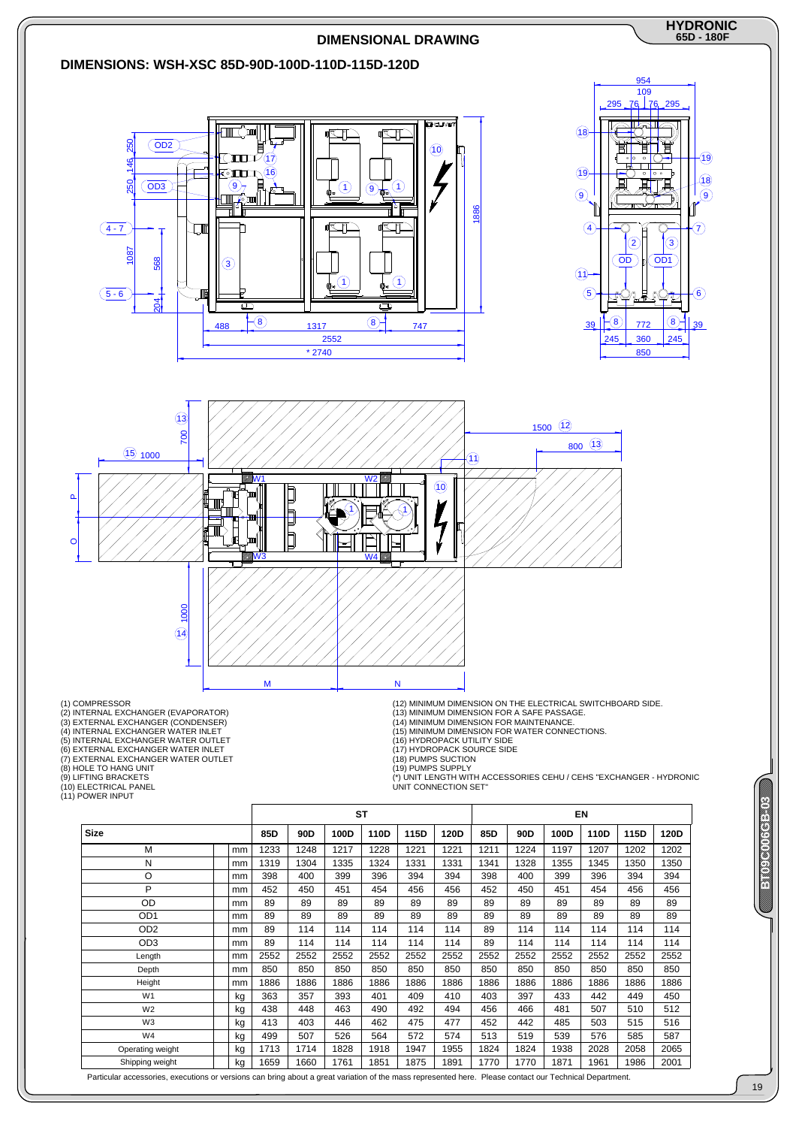

Particular accessories, executions or versions can bring about a great variation of the mass represented here. Please contact our Technical Department.

#### 19